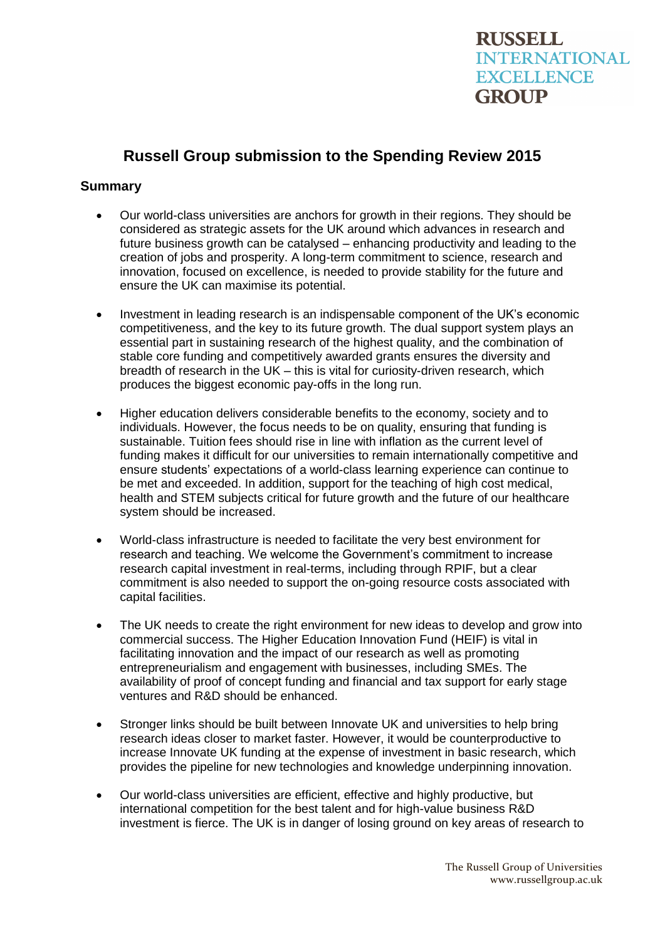# **Russell Group submission to the Spending Review 2015**

# **Summary**

- Our world-class universities are anchors for growth in their regions. They should be considered as strategic assets for the UK around which advances in research and future business growth can be catalysed – enhancing productivity and leading to the creation of jobs and prosperity. A long-term commitment to science, research and innovation, focused on excellence, is needed to provide stability for the future and ensure the UK can maximise its potential.
- Investment in leading research is an indispensable component of the UK's economic competitiveness, and the key to its future growth. The dual support system plays an essential part in sustaining research of the highest quality, and the combination of stable core funding and competitively awarded grants ensures the diversity and breadth of research in the UK – this is vital for curiosity-driven research, which produces the biggest economic pay-offs in the long run.
- Higher education delivers considerable benefits to the economy, society and to individuals. However, the focus needs to be on quality, ensuring that funding is sustainable. Tuition fees should rise in line with inflation as the current level of funding makes it difficult for our universities to remain internationally competitive and ensure students' expectations of a world-class learning experience can continue to be met and exceeded. In addition, support for the teaching of high cost medical, health and STEM subjects critical for future growth and the future of our healthcare system should be increased.
- World-class infrastructure is needed to facilitate the very best environment for research and teaching. We welcome the Government's commitment to increase research capital investment in real-terms, including through RPIF, but a clear commitment is also needed to support the on-going resource costs associated with capital facilities.
- The UK needs to create the right environment for new ideas to develop and grow into commercial success. The Higher Education Innovation Fund (HEIF) is vital in facilitating innovation and the impact of our research as well as promoting entrepreneurialism and engagement with businesses, including SMEs. The availability of proof of concept funding and financial and tax support for early stage ventures and R&D should be enhanced.
- Stronger links should be built between Innovate UK and universities to help bring research ideas closer to market faster. However, it would be counterproductive to increase Innovate UK funding at the expense of investment in basic research, which provides the pipeline for new technologies and knowledge underpinning innovation.
- Our world-class universities are efficient, effective and highly productive, but international competition for the best talent and for high-value business R&D investment is fierce. The UK is in danger of losing ground on key areas of research to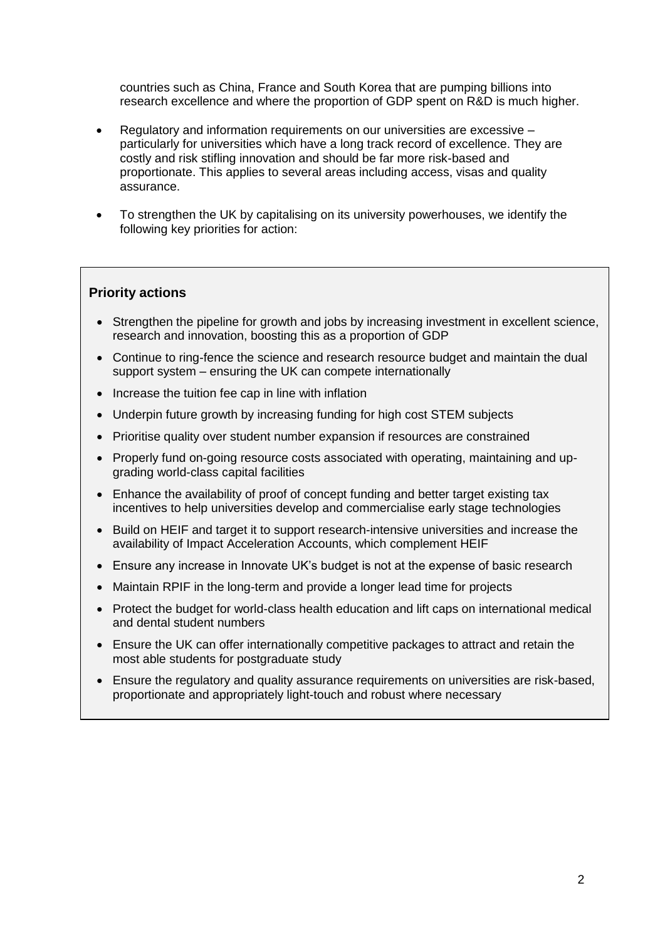countries such as China, France and South Korea that are pumping billions into research excellence and where the proportion of GDP spent on R&D is much higher.

- Regulatory and information requirements on our universities are excessive particularly for universities which have a long track record of excellence. They are costly and risk stifling innovation and should be far more risk-based and proportionate. This applies to several areas including access, visas and quality assurance.
- To strengthen the UK by capitalising on its university powerhouses, we identify the following key priorities for action:

### **Priority actions**

- Strengthen the pipeline for growth and jobs by increasing investment in excellent science, research and innovation, boosting this as a proportion of GDP
- Continue to ring-fence the science and research resource budget and maintain the dual support system – ensuring the UK can compete internationally
- Increase the tuition fee cap in line with inflation
- Underpin future growth by increasing funding for high cost STEM subjects
- Prioritise quality over student number expansion if resources are constrained
- Properly fund on-going resource costs associated with operating, maintaining and upgrading world-class capital facilities
- Enhance the availability of proof of concept funding and better target existing tax incentives to help universities develop and commercialise early stage technologies
- Build on HEIF and target it to support research-intensive universities and increase the availability of Impact Acceleration Accounts, which complement HEIF
- Ensure any increase in Innovate UK's budget is not at the expense of basic research
- Maintain RPIF in the long-term and provide a longer lead time for projects
- Protect the budget for world-class health education and lift caps on international medical and dental student numbers
- Ensure the UK can offer internationally competitive packages to attract and retain the most able students for postgraduate study
- Ensure the regulatory and quality assurance requirements on universities are risk-based, proportionate and appropriately light-touch and robust where necessary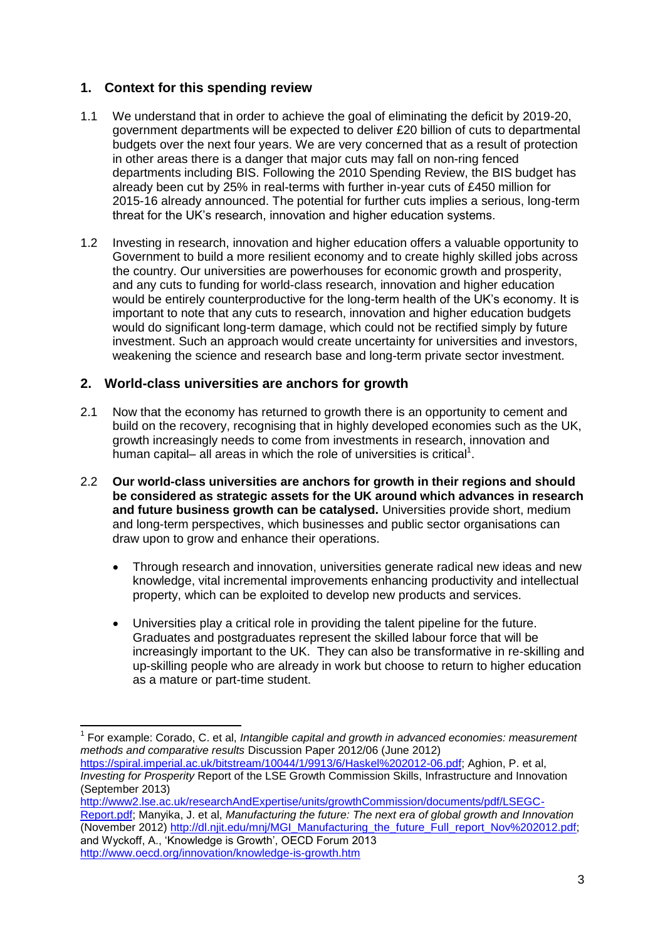# **1. Context for this spending review**

- 1.1 We understand that in order to achieve the goal of eliminating the deficit by 2019-20, government departments will be expected to deliver £20 billion of cuts to departmental budgets over the next four years. We are very concerned that as a result of protection in other areas there is a danger that major cuts may fall on non-ring fenced departments including BIS. Following the 2010 Spending Review, the BIS budget has already been cut by 25% in real-terms with further in-year cuts of £450 million for 2015-16 already announced. The potential for further cuts implies a serious, long-term threat for the UK's research, innovation and higher education systems.
- 1.2 Investing in research, innovation and higher education offers a valuable opportunity to Government to build a more resilient economy and to create highly skilled jobs across the country. Our universities are powerhouses for economic growth and prosperity, and any cuts to funding for world-class research, innovation and higher education would be entirely counterproductive for the long-term health of the UK's economy. It is important to note that any cuts to research, innovation and higher education budgets would do significant long-term damage, which could not be rectified simply by future investment. Such an approach would create uncertainty for universities and investors, weakening the science and research base and long-term private sector investment.

## **2. World-class universities are anchors for growth**

 $\overline{1}$ 

- 2.1 Now that the economy has returned to growth there is an opportunity to cement and build on the recovery, recognising that in highly developed economies such as the UK, growth increasingly needs to come from investments in research, innovation and human capital- all areas in which the role of universities is critical<sup>1</sup>.
- 2.2 **Our world-class universities are anchors for growth in their regions and should be considered as strategic assets for the UK around which advances in research and future business growth can be catalysed.** Universities provide short, medium and long-term perspectives, which businesses and public sector organisations can draw upon to grow and enhance their operations.
	- Through research and innovation, universities generate radical new ideas and new knowledge, vital incremental improvements enhancing productivity and intellectual property, which can be exploited to develop new products and services.
	- Universities play a critical role in providing the talent pipeline for the future. Graduates and postgraduates represent the skilled labour force that will be increasingly important to the UK. They can also be transformative in re-skilling and up-skilling people who are already in work but choose to return to higher education as a mature or part-time student.

<sup>1</sup> For example: Corado, C. et al, *Intangible capital and growth in advanced economies: measurement methods and comparative results* Discussion Paper 2012/06 (June 2012)

[https://spiral.imperial.ac.uk/bitstream/10044/1/9913/6/Haskel%202012-06.pdf;](https://spiral.imperial.ac.uk/bitstream/10044/1/9913/6/Haskel%202012-06.pdf) Aghion, P. et al, *Investing for Prosperity* Report of the LSE Growth Commission Skills, Infrastructure and Innovation (September 2013)

[http://www2.lse.ac.uk/researchAndExpertise/units/growthCommission/documents/pdf/LSEGC-](http://www2.lse.ac.uk/researchAndExpertise/units/growthCommission/documents/pdf/LSEGC-Report.pdf)[Report.pdf;](http://www2.lse.ac.uk/researchAndExpertise/units/growthCommission/documents/pdf/LSEGC-Report.pdf) Manyika, J. et al, *Manufacturing the future: The next era of global growth and Innovation*  (November 2012) [http://dl.njit.edu/mnj/MGI\\_Manufacturing\\_the\\_future\\_Full\\_report\\_Nov%202012.pdf;](http://dl.njit.edu/mnj/MGI_Manufacturing_the_future_Full_report_Nov%202012.pdf) and Wyckoff, A., 'Knowledge is Growth', OECD Forum 2013 <http://www.oecd.org/innovation/knowledge-is-growth.htm>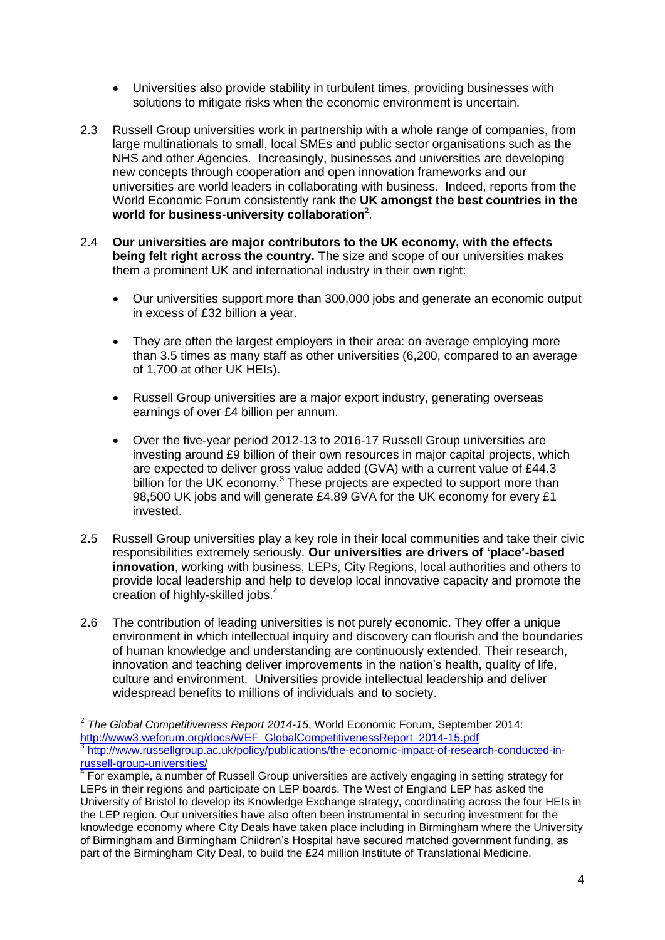- Universities also provide stability in turbulent times, providing businesses with solutions to mitigate risks when the economic environment is uncertain.
- 2.3 Russell Group universities work in partnership with a whole range of companies, from large multinationals to small, local SMEs and public sector organisations such as the NHS and other Agencies. Increasingly, businesses and universities are developing new concepts through cooperation and open innovation frameworks and our universities are world leaders in collaborating with business. Indeed, reports from the World Economic Forum consistently rank the **UK amongst the best countries in the world for business-university collaboration**<sup>2</sup> .
- 2.4 **Our universities are major contributors to the UK economy, with the effects being felt right across the country.** The size and scope of our universities makes them a prominent UK and international industry in their own right:
	- Our universities support more than 300,000 jobs and generate an economic output in excess of £32 billion a year.
	- They are often the largest employers in their area: on average employing more than 3.5 times as many staff as other universities (6,200, compared to an average of 1,700 at other UK HEIs).
	- Russell Group universities are a major export industry, generating overseas earnings of over £4 billion per annum.
	- Over the five-year period 2012-13 to 2016-17 Russell Group universities are investing around £9 billion of their own resources in major capital projects, which are expected to deliver gross value added (GVA) with a current value of £44.3 billion for the UK economy. $3$  These projects are expected to support more than 98,500 UK jobs and will generate £4.89 GVA for the UK economy for every £1 invested.
- 2.5 Russell Group universities play a key role in their local communities and take their civic responsibilities extremely seriously. **Our universities are drivers of 'place'-based innovation**, working with business, LEPs, City Regions, local authorities and others to provide local leadership and help to develop local innovative capacity and promote the creation of highly-skilled jobs. 4
- 2.6 The contribution of leading universities is not purely economic. They offer a unique environment in which intellectual inquiry and discovery can flourish and the boundaries of human knowledge and understanding are continuously extended. Their research, innovation and teaching deliver improvements in the nation's health, quality of life, culture and environment. Universities provide intellectual leadership and deliver widespread benefits to millions of individuals and to society.

 2 *The Global Competitiveness Report 2014-15*, World Economic Forum, September 2014: [http://www3.weforum.org/docs/WEF\\_GlobalCompetitivenessReport\\_2014-15.pdf](http://www3.weforum.org/docs/WEF_GlobalCompetitivenessReport_2014-15.pdf) 3 [http://www.russellgroup.ac.uk/policy/publications/the-economic-impact-of-research-conducted-in](http://www.russellgroup.ac.uk/policy/publications/the-economic-impact-of-research-conducted-in-russell-group-universities/)[russell-group-universities/](http://www.russellgroup.ac.uk/policy/publications/the-economic-impact-of-research-conducted-in-russell-group-universities/)

<sup>&</sup>lt;sup>4</sup> For example, a number of Russell Group universities are actively engaging in setting strategy for LEPs in their regions and participate on LEP boards. The West of England LEP has asked the University of Bristol to develop its Knowledge Exchange strategy, coordinating across the four HEIs in the LEP region. Our universities have also often been instrumental in securing investment for the knowledge economy where City Deals have taken place including in Birmingham where the University of Birmingham and Birmingham Children's Hospital have secured matched government funding, as part of the Birmingham City Deal, to build the £24 million Institute of Translational Medicine.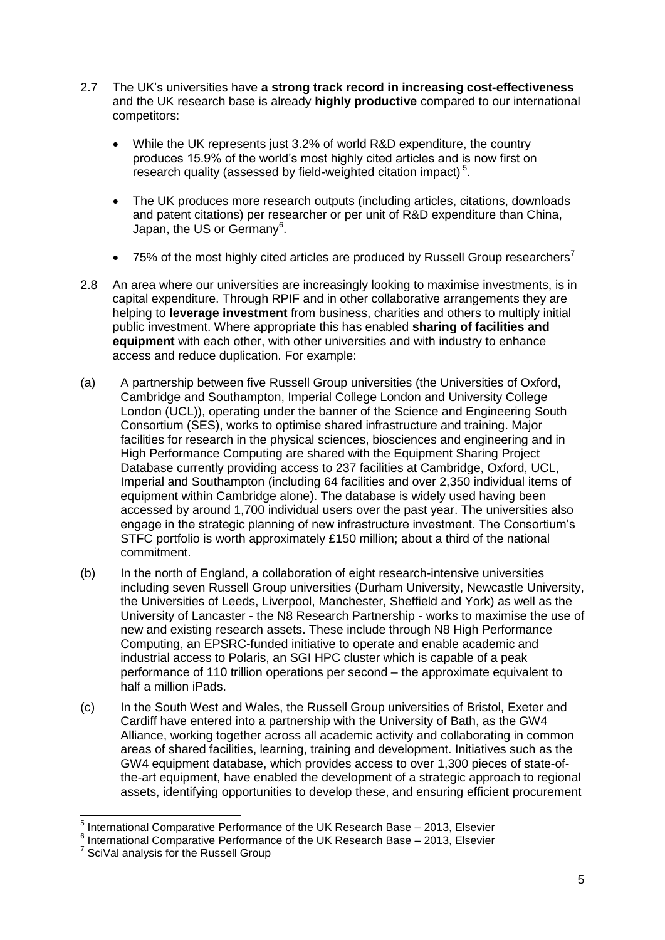- 2.7 The UK's universities have **a strong track record in increasing cost-effectiveness** and the UK research base is already **highly productive** compared to our international competitors:
	- While the UK represents just 3.2% of world R&D expenditure, the country produces 15.9% of the world's most highly cited articles and is now first on research quality (assessed by field-weighted citation impact)<sup>5</sup>.
	- The UK produces more research outputs (including articles, citations, downloads and patent citations) per researcher or per unit of R&D expenditure than China, Japan, the US or Germany<sup>6</sup>.
	- $\bullet$  75% of the most highly cited articles are produced by Russell Group researchers<sup>7</sup>
- 2.8 An area where our universities are increasingly looking to maximise investments, is in capital expenditure. Through RPIF and in other collaborative arrangements they are helping to **leverage investment** from business, charities and others to multiply initial public investment. Where appropriate this has enabled **sharing of facilities and equipment** with each other, with other universities and with industry to enhance access and reduce duplication. For example:
- (a) A partnership between five Russell Group universities (the Universities of Oxford, Cambridge and Southampton, Imperial College London and University College London (UCL)), operating under the banner of the Science and Engineering South Consortium (SES), works to optimise shared infrastructure and training. Major facilities for research in the physical sciences, biosciences and engineering and in High Performance Computing are shared with the Equipment Sharing Project Database currently providing access to 237 facilities at Cambridge, Oxford, UCL, Imperial and Southampton (including 64 facilities and over 2,350 individual items of equipment within Cambridge alone). The database is widely used having been accessed by around 1,700 individual users over the past year. The universities also engage in the strategic planning of new infrastructure investment. The Consortium's STFC portfolio is worth approximately £150 million; about a third of the national commitment.
- (b) In the north of England, a collaboration of eight research-intensive universities including seven Russell Group universities (Durham University, Newcastle University, the Universities of Leeds, Liverpool, Manchester, Sheffield and York) as well as the University of Lancaster - the N8 Research Partnership - works to maximise the use of new and existing research assets. These include through N8 High Performance Computing, an EPSRC-funded initiative to operate and enable academic and industrial access to Polaris, an SGI HPC cluster which is capable of a peak performance of 110 trillion operations per second – the approximate equivalent to half a million iPads.
- (c) In the South West and Wales, the Russell Group universities of Bristol, Exeter and Cardiff have entered into a partnership with the University of Bath, as the GW4 Alliance, working together across all academic activity and collaborating in common areas of shared facilities, learning, training and development. Initiatives such as the GW4 equipment database, which provides access to over 1,300 pieces of state-ofthe-art equipment, have enabled the development of a strategic approach to regional assets, identifying opportunities to develop these, and ensuring efficient procurement

\_\_\_\_\_\_\_\_\_\_\_\_\_\_\_\_\_\_\_\_\_\_\_\_\_\_\_\_\_\_\_\_\_\_\_<br><sup>5</sup> International Comparative Performance of the UK Research Base – 2013, Elsevier

 $6$  International Comparative Performance of the UK Research Base - 2013, Elsevier

<sup>&</sup>lt;sup>7</sup> SciVal analysis for the Russell Group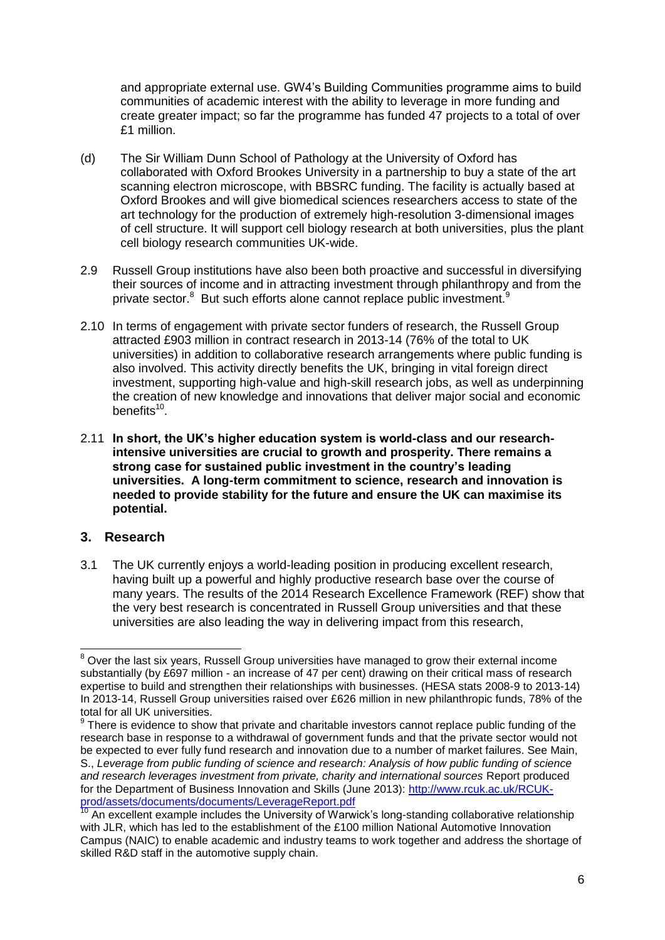and appropriate external use. GW4's Building Communities programme aims to build communities of academic interest with the ability to leverage in more funding and create greater impact; so far the programme has funded 47 projects to a total of over £1 million.

- (d) The Sir William Dunn School of Pathology at the University of Oxford has collaborated with Oxford Brookes University in a partnership to buy a state of the art scanning electron microscope, with BBSRC funding. The facility is actually based at Oxford Brookes and will give biomedical sciences researchers access to state of the art technology for the production of extremely high-resolution 3-dimensional images of cell structure. It will support cell biology research at both universities, plus the plant cell biology research communities UK-wide.
- 2.9 Russell Group institutions have also been both proactive and successful in diversifying their sources of income and in attracting investment through philanthropy and from the private sector.<sup>8</sup> But such efforts alone cannot replace public investment.<sup>9</sup>
- 2.10 In terms of engagement with private sector funders of research, the Russell Group attracted £903 million in contract research in 2013-14 (76% of the total to UK universities) in addition to collaborative research arrangements where public funding is also involved. This activity directly benefits the UK, bringing in vital foreign direct investment, supporting high-value and high-skill research jobs, as well as underpinning the creation of new knowledge and innovations that deliver major social and economic benefits<sup>10</sup>.
- 2.11 **In short, the UK's higher education system is world-class and our researchintensive universities are crucial to growth and prosperity. There remains a strong case for sustained public investment in the country's leading universities. A long-term commitment to science, research and innovation is needed to provide stability for the future and ensure the UK can maximise its potential.**

# **3. Research**

3.1 The UK currently enjoys a world-leading position in producing excellent research, having built up a powerful and highly productive research base over the course of many years. The results of the 2014 Research Excellence Framework (REF) show that the very best research is concentrated in Russell Group universities and that these universities are also leading the way in delivering impact from this research,

<sup>-</sup> $8$  Over the last six years, Russell Group universities have managed to grow their external income substantially (by £697 million - an increase of 47 per cent) drawing on their critical mass of research expertise to build and strengthen their relationships with businesses. (HESA stats 2008-9 to 2013-14) In 2013-14, Russell Group universities raised over £626 million in new philanthropic funds, 78% of the total for all UK universities.

 $9$  There is evidence to show that private and charitable investors cannot replace public funding of the research base in response to a withdrawal of government funds and that the private sector would not be expected to ever fully fund research and innovation due to a number of market failures. See Main, S., *Leverage from public funding of science and research: Analysis of how public funding of science and research leverages investment from private, charity and international sources* Report produced for the Department of Business Innovation and Skills (June 2013): [http://www.rcuk.ac.uk/RCUK](http://www.rcuk.ac.uk/RCUK-prod/assets/documents/documents/LeverageReport.pdf)[prod/assets/documents/documents/LeverageReport.pdf](http://www.rcuk.ac.uk/RCUK-prod/assets/documents/documents/LeverageReport.pdf)

<sup>10</sup> An excellent example includes the University of Warwick's long-standing collaborative relationship with JLR, which has led to the establishment of the £100 million National Automotive Innovation Campus (NAIC) to enable academic and industry teams to work together and address the shortage of skilled R&D staff in the automotive supply chain.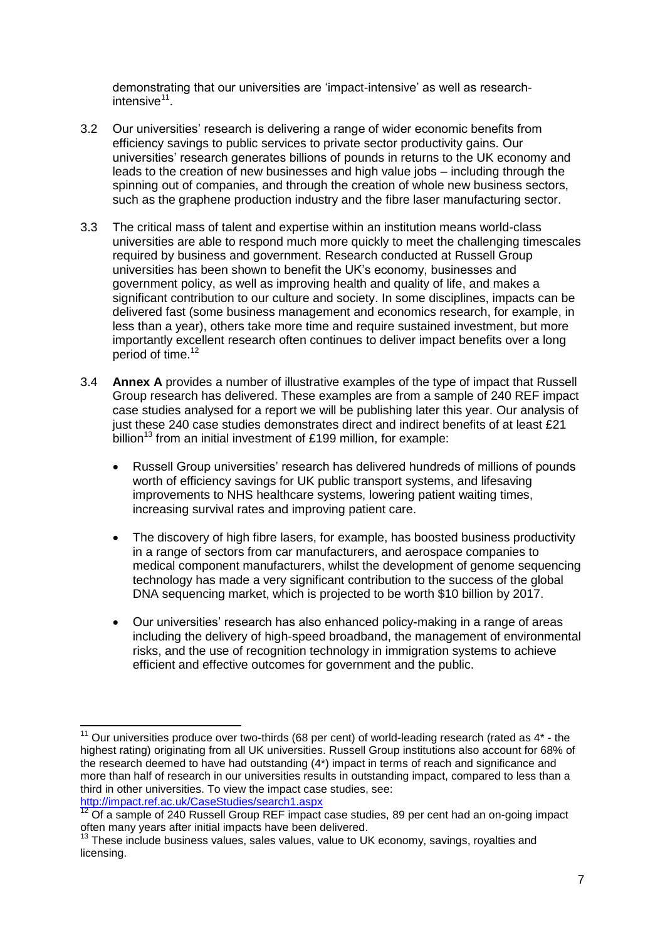demonstrating that our universities are 'impact-intensive' as well as researchintensive<sup>11</sup>.

- 3.2 Our universities' research is delivering a range of wider economic benefits from efficiency savings to public services to private sector productivity gains. Our universities' research generates billions of pounds in returns to the UK economy and leads to the creation of new businesses and high value jobs – including through the spinning out of companies, and through the creation of whole new business sectors, such as the graphene production industry and the fibre laser manufacturing sector.
- 3.3 The critical mass of talent and expertise within an institution means world-class universities are able to respond much more quickly to meet the challenging timescales required by business and government. Research conducted at Russell Group universities has been shown to benefit the UK's economy, businesses and government policy, as well as improving health and quality of life, and makes a significant contribution to our culture and society. In some disciplines, impacts can be delivered fast (some business management and economics research, for example, in less than a year), others take more time and require sustained investment, but more importantly excellent research often continues to deliver impact benefits over a long period of time.<sup>12</sup>
- 3.4 **Annex A** provides a number of illustrative examples of the type of impact that Russell Group research has delivered. These examples are from a sample of 240 REF impact case studies analysed for a report we will be publishing later this year. Our analysis of just these 240 case studies demonstrates direct and indirect benefits of at least £21 billion<sup>13</sup> from an initial investment of £199 million, for example:
	- Russell Group universities' research has delivered hundreds of millions of pounds worth of efficiency savings for UK public transport systems, and lifesaving improvements to NHS healthcare systems, lowering patient waiting times, increasing survival rates and improving patient care.
	- The discovery of high fibre lasers, for example, has boosted business productivity in a range of sectors from car manufacturers, and aerospace companies to medical component manufacturers, whilst the development of genome sequencing technology has made a very significant contribution to the success of the global DNA sequencing market, which is projected to be worth \$10 billion by 2017.
	- Our universities' research has also enhanced policy-making in a range of areas including the delivery of high-speed broadband, the management of environmental risks, and the use of recognition technology in immigration systems to achieve efficient and effective outcomes for government and the public.

 $12$  Of a sample of 240 Russell Group REF impact case studies, 89 per cent had an on-going impact often many years after initial impacts have been delivered.

<sup>-</sup> $11$  Our universities produce over two-thirds (68 per cent) of world-leading research (rated as  $4^*$  - the highest rating) originating from all UK universities. Russell Group institutions also account for 68% of the research deemed to have had outstanding (4\*) impact in terms of reach and significance and more than half of research in our universities results in outstanding impact, compared to less than a third in other universities. To view the impact case studies, see: <http://impact.ref.ac.uk/CaseStudies/search1.aspx>

 $13$  These include business values, sales values, value to UK economy, savings, royalties and licensing.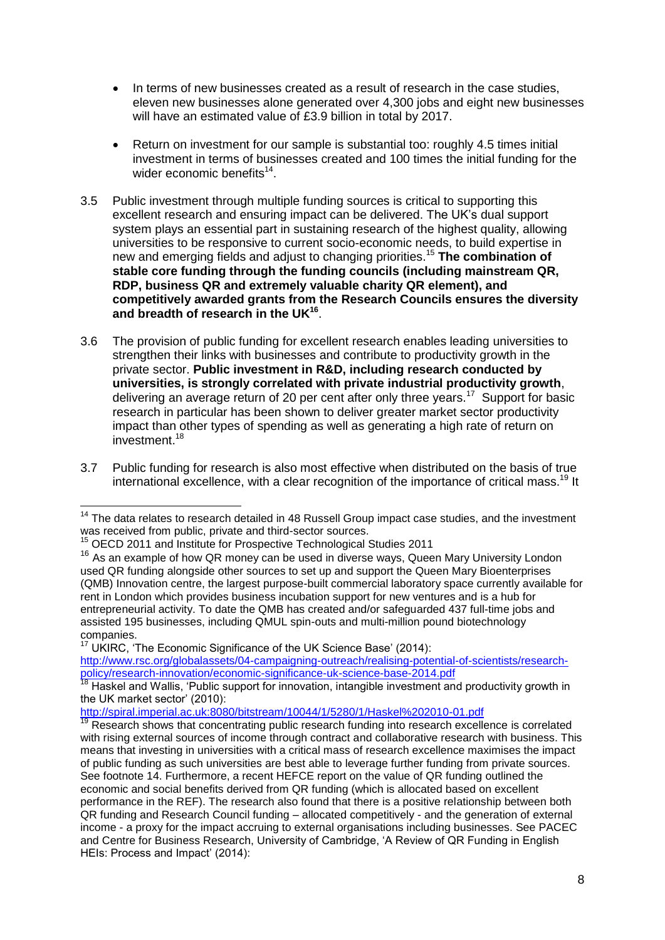- In terms of new businesses created as a result of research in the case studies, eleven new businesses alone generated over 4,300 jobs and eight new businesses will have an estimated value of £3.9 billion in total by 2017.
- Return on investment for our sample is substantial too: roughly 4.5 times initial investment in terms of businesses created and 100 times the initial funding for the wider economic benefits<sup>14</sup>.
- 3.5 Public investment through multiple funding sources is critical to supporting this excellent research and ensuring impact can be delivered. The UK's dual support system plays an essential part in sustaining research of the highest quality, allowing universities to be responsive to current socio-economic needs, to build expertise in new and emerging fields and adjust to changing priorities. <sup>15</sup> **The combination of stable core funding through the funding councils (including mainstream QR, RDP, business QR and extremely valuable charity QR element), and competitively awarded grants from the Research Councils ensures the diversity and breadth of research in the UK<sup>16</sup>** .
- 3.6 The provision of public funding for excellent research enables leading universities to strengthen their links with businesses and contribute to productivity growth in the private sector. **Public investment in R&D, including research conducted by universities, is strongly correlated with private industrial productivity growth**, delivering an average return of 20 per cent after only three years.<sup>17</sup> Support for basic research in particular has been shown to deliver greater market sector productivity impact than other types of spending as well as generating a high rate of return on investment.<sup>18</sup>
- 3.7 Public funding for research is also most effective when distributed on the basis of true international excellence, with a clear recognition of the importance of critical mass.<sup>19</sup> It

<http://spiral.imperial.ac.uk:8080/bitstream/10044/1/5280/1/Haskel%202010-01.pdf>

<sup>-</sup> $14$  The data relates to research detailed in 48 Russell Group impact case studies, and the investment was received from public, private and third-sector sources.

<sup>&</sup>lt;sup>15</sup> OECD 2011 and Institute for Prospective Technological Studies 2011

<sup>&</sup>lt;sup>16</sup> As an example of how QR money can be used in diverse ways, Queen Mary University London used QR funding alongside other sources to set up and support the Queen Mary Bioenterprises (QMB) Innovation centre, the largest purpose-built commercial laboratory space currently available for rent in London which provides business incubation support for new ventures and is a hub for entrepreneurial activity. To date the QMB has created and/or safeguarded 437 full-time jobs and assisted 195 businesses, including QMUL spin-outs and multi-million pound biotechnology companies.

 $17$  UKIRC, 'The Economic Significance of the UK Science Base' (2014): [http://www.rsc.org/globalassets/04-campaigning-outreach/realising-potential-of-scientists/research](http://www.rsc.org/globalassets/04-campaigning-outreach/realising-potential-of-scientists/research-policy/research-innovation/economic-significance-uk-science-base-2014.pdf)[policy/research-innovation/economic-significance-uk-science-base-2014.pdf](http://www.rsc.org/globalassets/04-campaigning-outreach/realising-potential-of-scientists/research-policy/research-innovation/economic-significance-uk-science-base-2014.pdf)

<sup>&</sup>lt;sup>18</sup> Haskel and Wallis, 'Public support for innovation, intangible investment and productivity growth in the UK market sector' (2010):

Research shows that concentrating public research funding into research excellence is correlated with rising external sources of income through contract and collaborative research with business. This means that investing in universities with a critical mass of research excellence maximises the impact of public funding as such universities are best able to leverage further funding from private sources. See footnote 14. Furthermore, a recent HEFCE report on the value of QR funding outlined the economic and social benefits derived from QR funding (which is allocated based on excellent performance in the REF). The research also found that there is a positive relationship between both QR funding and Research Council funding – allocated competitively - and the generation of external income - a proxy for the impact accruing to external organisations including businesses. See PACEC and Centre for Business Research, University of Cambridge, 'A Review of QR Funding in English HEIs: Process and Impact' (2014):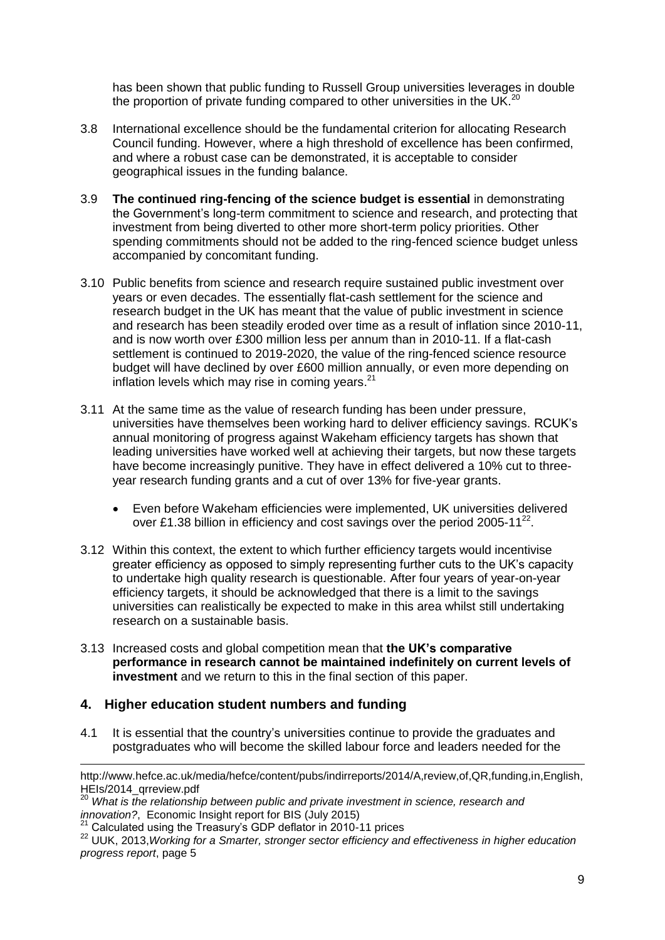has been shown that public funding to Russell Group universities leverages in double the proportion of private funding compared to other universities in the UK.<sup>20</sup>

- 3.8 International excellence should be the fundamental criterion for allocating Research Council funding. However, where a high threshold of excellence has been confirmed, and where a robust case can be demonstrated, it is acceptable to consider geographical issues in the funding balance.
- 3.9 **The continued ring-fencing of the science budget is essential** in demonstrating the Government's long-term commitment to science and research, and protecting that investment from being diverted to other more short-term policy priorities. Other spending commitments should not be added to the ring-fenced science budget unless accompanied by concomitant funding.
- 3.10 Public benefits from science and research require sustained public investment over years or even decades. The essentially flat-cash settlement for the science and research budget in the UK has meant that the value of public investment in science and research has been steadily eroded over time as a result of inflation since 2010-11, and is now worth over £300 million less per annum than in 2010-11. If a flat-cash settlement is continued to 2019-2020, the value of the ring-fenced science resource budget will have declined by over £600 million annually, or even more depending on inflation levels which may rise in coming years.<sup>21</sup>
- 3.11 At the same time as the value of research funding has been under pressure, universities have themselves been working hard to deliver efficiency savings. RCUK's annual monitoring of progress against Wakeham efficiency targets has shown that leading universities have worked well at achieving their targets, but now these targets have become increasingly punitive. They have in effect delivered a 10% cut to threeyear research funding grants and a cut of over 13% for five-year grants.
	- Even before Wakeham efficiencies were implemented, UK universities delivered over £1.38 billion in efficiency and cost savings over the period 2005-11<sup>22</sup>.
- 3.12 Within this context, the extent to which further efficiency targets would incentivise greater efficiency as opposed to simply representing further cuts to the UK's capacity to undertake high quality research is questionable. After four years of year-on-year efficiency targets, it should be acknowledged that there is a limit to the savings universities can realistically be expected to make in this area whilst still undertaking research on a sustainable basis.
- 3.13 Increased costs and global competition mean that **the UK's comparative performance in research cannot be maintained indefinitely on current levels of investment** and we return to this in the final section of this paper.

## **4. Higher education student numbers and funding**

-

4.1 It is essential that the country's universities continue to provide the graduates and postgraduates who will become the skilled labour force and leaders needed for the

http://www.hefce.ac.uk/media/hefce/content/pubs/indirreports/2014/A,review,of,QR,funding,in,English, HEIs/2014\_qrreview.pdf

<sup>&</sup>lt;sup>20</sup> What is the relationship between public and private investment in science, research and *innovation?*, Economic Insight report for BIS (July 2015)

<sup>21</sup> Calculated using the Treasury's GDP deflator in 2010-11 prices

<sup>22</sup> UUK, 2013,*Working for a Smarter, stronger sector efficiency and effectiveness in higher education progress report*, page 5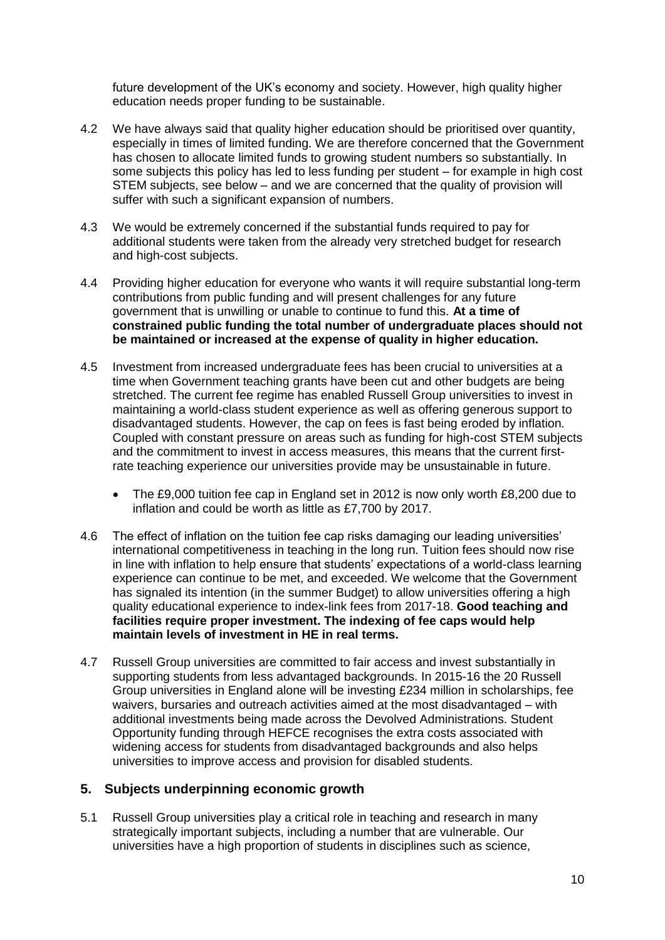future development of the UK's economy and society. However, high quality higher education needs proper funding to be sustainable.

- 4.2 We have always said that quality higher education should be prioritised over quantity, especially in times of limited funding. We are therefore concerned that the Government has chosen to allocate limited funds to growing student numbers so substantially. In some subjects this policy has led to less funding per student – for example in high cost STEM subjects, see below – and we are concerned that the quality of provision will suffer with such a significant expansion of numbers.
- 4.3 We would be extremely concerned if the substantial funds required to pay for additional students were taken from the already very stretched budget for research and high-cost subjects.
- 4.4 Providing higher education for everyone who wants it will require substantial long-term contributions from public funding and will present challenges for any future government that is unwilling or unable to continue to fund this. **At a time of constrained public funding the total number of undergraduate places should not be maintained or increased at the expense of quality in higher education.**
- 4.5 Investment from increased undergraduate fees has been crucial to universities at a time when Government teaching grants have been cut and other budgets are being stretched. The current fee regime has enabled Russell Group universities to invest in maintaining a world-class student experience as well as offering generous support to disadvantaged students. However, the cap on fees is fast being eroded by inflation. Coupled with constant pressure on areas such as funding for high-cost STEM subjects and the commitment to invest in access measures, this means that the current firstrate teaching experience our universities provide may be unsustainable in future.
	- The £9,000 tuition fee cap in England set in 2012 is now only worth £8,200 due to inflation and could be worth as little as £7,700 by 2017.
- 4.6 The effect of inflation on the tuition fee cap risks damaging our leading universities' international competitiveness in teaching in the long run. Tuition fees should now rise in line with inflation to help ensure that students' expectations of a world-class learning experience can continue to be met, and exceeded. We welcome that the Government has signaled its intention (in the summer Budget) to allow universities offering a high quality educational experience to index-link fees from 2017-18. **Good teaching and facilities require proper investment. The indexing of fee caps would help maintain levels of investment in HE in real terms.**
- 4.7 Russell Group universities are committed to fair access and invest substantially in supporting students from less advantaged backgrounds. In 2015-16 the 20 Russell Group universities in England alone will be investing £234 million in scholarships, fee waivers, bursaries and outreach activities aimed at the most disadvantaged – with additional investments being made across the Devolved Administrations. Student Opportunity funding through HEFCE recognises the extra costs associated with widening access for students from disadvantaged backgrounds and also helps universities to improve access and provision for disabled students.

#### **5. Subjects underpinning economic growth**

5.1 Russell Group universities play a critical role in teaching and research in many strategically important subjects, including a number that are vulnerable. Our universities have a high proportion of students in disciplines such as science,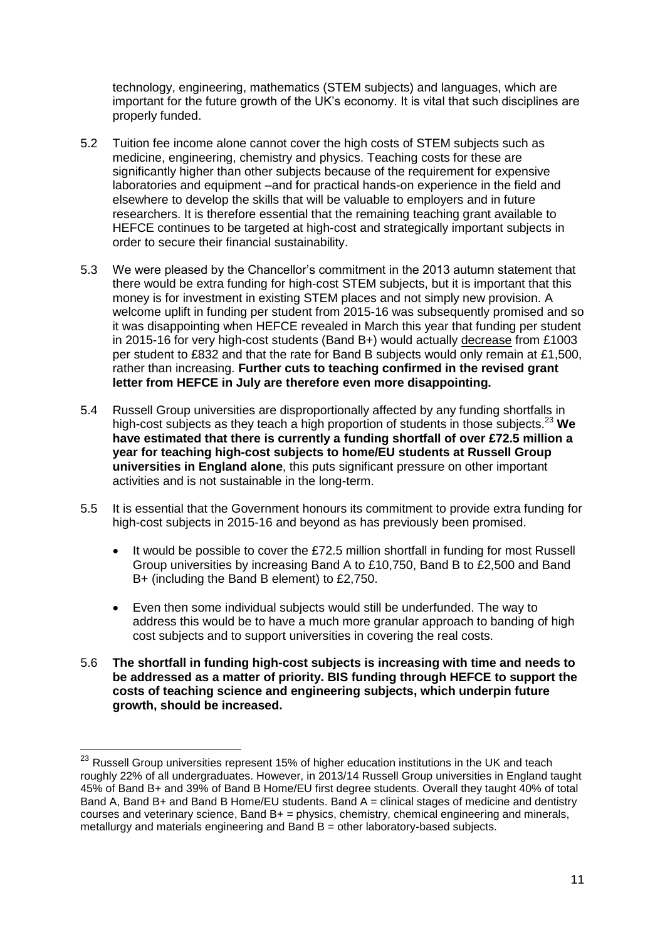technology, engineering, mathematics (STEM subjects) and languages, which are important for the future growth of the UK's economy. It is vital that such disciplines are properly funded.

- 5.2 Tuition fee income alone cannot cover the high costs of STEM subjects such as medicine, engineering, chemistry and physics. Teaching costs for these are significantly higher than other subjects because of the requirement for expensive laboratories and equipment –and for practical hands-on experience in the field and elsewhere to develop the skills that will be valuable to employers and in future researchers. It is therefore essential that the remaining teaching grant available to HEFCE continues to be targeted at high-cost and strategically important subjects in order to secure their financial sustainability.
- 5.3 We were pleased by the Chancellor's commitment in the 2013 autumn statement that there would be extra funding for high-cost STEM subjects, but it is important that this money is for investment in existing STEM places and not simply new provision. A welcome uplift in funding per student from 2015-16 was subsequently promised and so it was disappointing when HEFCE revealed in March this year that funding per student in 2015-16 for very high-cost students (Band B+) would actually decrease from £1003 per student to £832 and that the rate for Band B subjects would only remain at £1,500, rather than increasing. **Further cuts to teaching confirmed in the revised grant letter from HEFCE in July are therefore even more disappointing.**
- 5.4 Russell Group universities are disproportionally affected by any funding shortfalls in high-cost subjects as they teach a high proportion of students in those subjects.<sup>23</sup> We **have estimated that there is currently a funding shortfall of over £72.5 million a year for teaching high-cost subjects to home/EU students at Russell Group universities in England alone**, this puts significant pressure on other important activities and is not sustainable in the long-term.
- 5.5 It is essential that the Government honours its commitment to provide extra funding for high-cost subjects in 2015-16 and beyond as has previously been promised.
	- It would be possible to cover the £72.5 million shortfall in funding for most Russell Group universities by increasing Band A to £10,750, Band B to £2,500 and Band B+ (including the Band B element) to £2,750.
	- Even then some individual subjects would still be underfunded. The way to address this would be to have a much more granular approach to banding of high cost subjects and to support universities in covering the real costs.
- 5.6 **The shortfall in funding high-cost subjects is increasing with time and needs to be addressed as a matter of priority. BIS funding through HEFCE to support the costs of teaching science and engineering subjects, which underpin future growth, should be increased.**

 $^{23}$  Russell Group universities represent 15% of higher education institutions in the UK and teach roughly 22% of all undergraduates. However, in 2013/14 Russell Group universities in England taught 45% of Band B+ and 39% of Band B Home/EU first degree students. Overall they taught 40% of total Band A, Band B+ and Band B Home/EU students. Band A = clinical stages of medicine and dentistry courses and veterinary science, Band B+ = physics, chemistry, chemical engineering and minerals, metallurgy and materials engineering and  $Band B = other laboratory-based subjects.$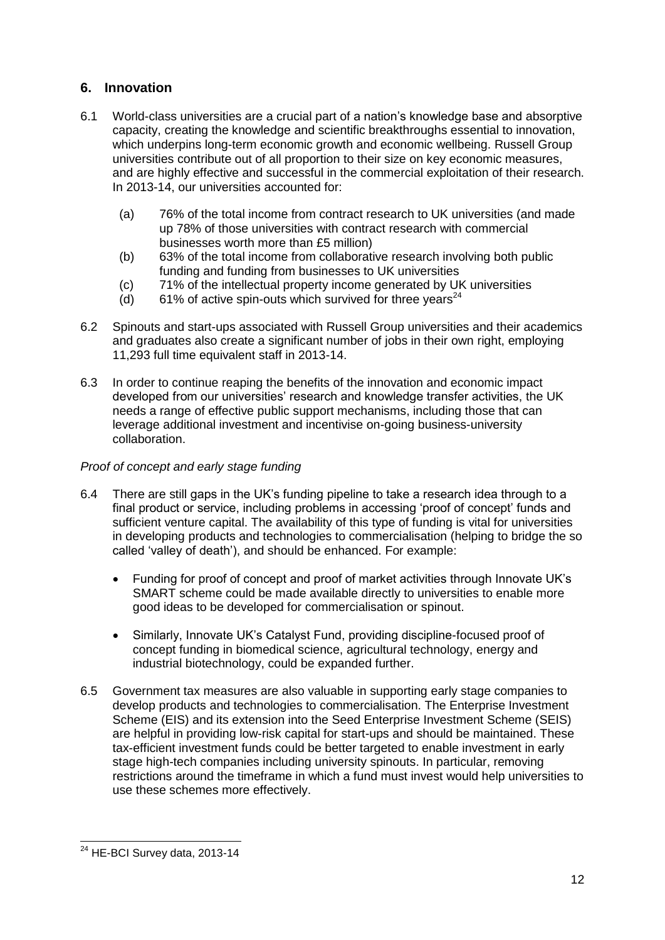# **6. Innovation**

- 6.1 World-class universities are a crucial part of a nation's knowledge base and absorptive capacity, creating the knowledge and scientific breakthroughs essential to innovation, which underpins long-term economic growth and economic wellbeing. Russell Group universities contribute out of all proportion to their size on key economic measures, and are highly effective and successful in the commercial exploitation of their research. In 2013-14, our universities accounted for:
	- (a) 76% of the total income from contract research to UK universities (and made up 78% of those universities with contract research with commercial businesses worth more than £5 million)
	- (b) 63% of the total income from collaborative research involving both public funding and funding from businesses to UK universities
	- (c) 71% of the intellectual property income generated by UK universities
	- (d) 61% of active spin-outs which survived for three years<sup>24</sup>
- 6.2 Spinouts and start-ups associated with Russell Group universities and their academics and graduates also create a significant number of jobs in their own right, employing 11,293 full time equivalent staff in 2013-14.
- 6.3 In order to continue reaping the benefits of the innovation and economic impact developed from our universities' research and knowledge transfer activities, the UK needs a range of effective public support mechanisms, including those that can leverage additional investment and incentivise on-going business-university collaboration.

### *Proof of concept and early stage funding*

- 6.4 There are still gaps in the UK's funding pipeline to take a research idea through to a final product or service, including problems in accessing 'proof of concept' funds and sufficient venture capital. The availability of this type of funding is vital for universities in developing products and technologies to commercialisation (helping to bridge the so called 'valley of death'), and should be enhanced. For example:
	- Funding for proof of concept and proof of market activities through Innovate UK's SMART scheme could be made available directly to universities to enable more good ideas to be developed for commercialisation or spinout.
	- Similarly, Innovate UK's Catalyst Fund, providing discipline-focused proof of concept funding in biomedical science, agricultural technology, energy and industrial biotechnology, could be expanded further.
- 6.5 Government tax measures are also valuable in supporting early stage companies to develop products and technologies to commercialisation. The Enterprise Investment Scheme (EIS) and its extension into the Seed Enterprise Investment Scheme (SEIS) are helpful in providing low-risk capital for start-ups and should be maintained. These tax-efficient investment funds could be better targeted to enable investment in early stage high-tech companies including university spinouts. In particular, removing restrictions around the timeframe in which a fund must invest would help universities to use these schemes more effectively.

<sup>-</sup> $24$  HE-BCI Survey data, 2013-14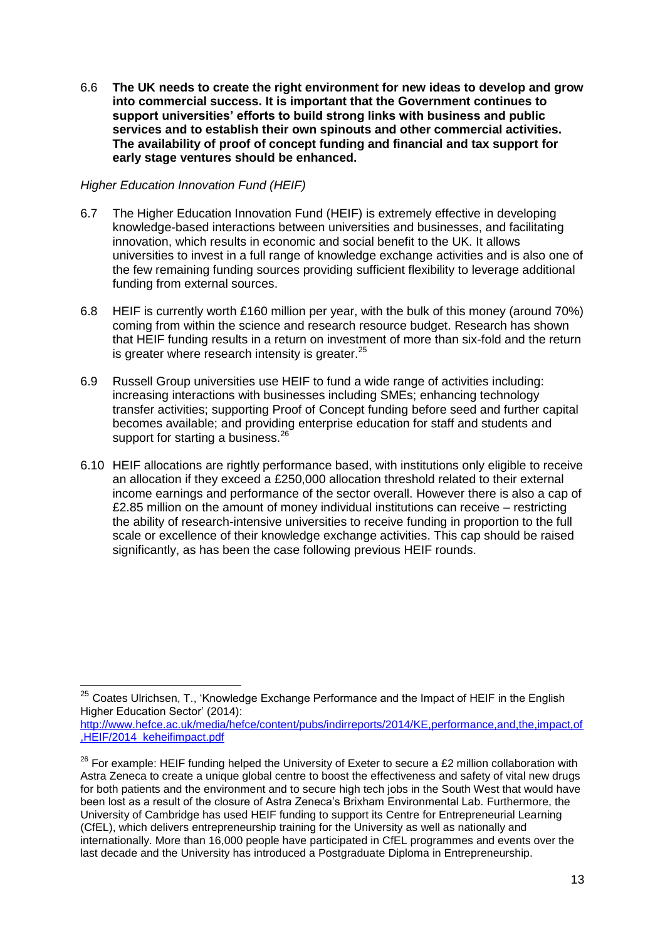6.6 **The UK needs to create the right environment for new ideas to develop and grow into commercial success. It is important that the Government continues to support universities' efforts to build strong links with business and public services and to establish their own spinouts and other commercial activities. The availability of proof of concept funding and financial and tax support for early stage ventures should be enhanced.** 

#### *Higher Education Innovation Fund (HEIF)*

- 6.7 The Higher Education Innovation Fund (HEIF) is extremely effective in developing knowledge-based interactions between universities and businesses, and facilitating innovation, which results in economic and social benefit to the UK. It allows universities to invest in a full range of knowledge exchange activities and is also one of the few remaining funding sources providing sufficient flexibility to leverage additional funding from external sources.
- 6.8 HEIF is currently worth £160 million per year, with the bulk of this money (around 70%) coming from within the science and research resource budget. Research has shown that HEIF funding results in a return on investment of more than six-fold and the return is greater where research intensity is greater.<sup>25</sup>
- 6.9 Russell Group universities use HEIF to fund a wide range of activities including: increasing interactions with businesses including SMEs; enhancing technology transfer activities; supporting Proof of Concept funding before seed and further capital becomes available; and providing enterprise education for staff and students and support for starting a business.<sup>26</sup>
- 6.10 HEIF allocations are rightly performance based, with institutions only eligible to receive an allocation if they exceed a £250,000 allocation threshold related to their external income earnings and performance of the sector overall. However there is also a cap of £2.85 million on the amount of money individual institutions can receive – restricting the ability of research-intensive universities to receive funding in proportion to the full scale or excellence of their knowledge exchange activities. This cap should be raised significantly, as has been the case following previous HEIF rounds.

 $^{25}$  Coates Ulrichsen, T., 'Knowledge Exchange Performance and the Impact of HEIF in the English Higher Education Sector' (2014):

[http://www.hefce.ac.uk/media/hefce/content/pubs/indirreports/2014/KE,performance,and,the,impact,of](http://www.hefce.ac.uk/media/hefce/content/pubs/indirreports/2014/KE,performance,and,the,impact,of,HEIF/2014_keheifimpact.pdf) [,HEIF/2014\\_keheifimpact.pdf](http://www.hefce.ac.uk/media/hefce/content/pubs/indirreports/2014/KE,performance,and,the,impact,of,HEIF/2014_keheifimpact.pdf)

 $26$  For example: HEIF funding helped the University of Exeter to secure a £2 million collaboration with Astra Zeneca to create a unique global centre to boost the effectiveness and safety of vital new drugs for both patients and the environment and to secure high tech jobs in the South West that would have been lost as a result of the closure of Astra Zeneca's Brixham Environmental Lab. Furthermore, the University of Cambridge has used HEIF funding to support its Centre for Entrepreneurial Learning (CfEL), which delivers entrepreneurship training for the University as well as nationally and internationally. More than 16,000 people have participated in CfEL programmes and events over the last decade and the University has introduced a Postgraduate Diploma in Entrepreneurship.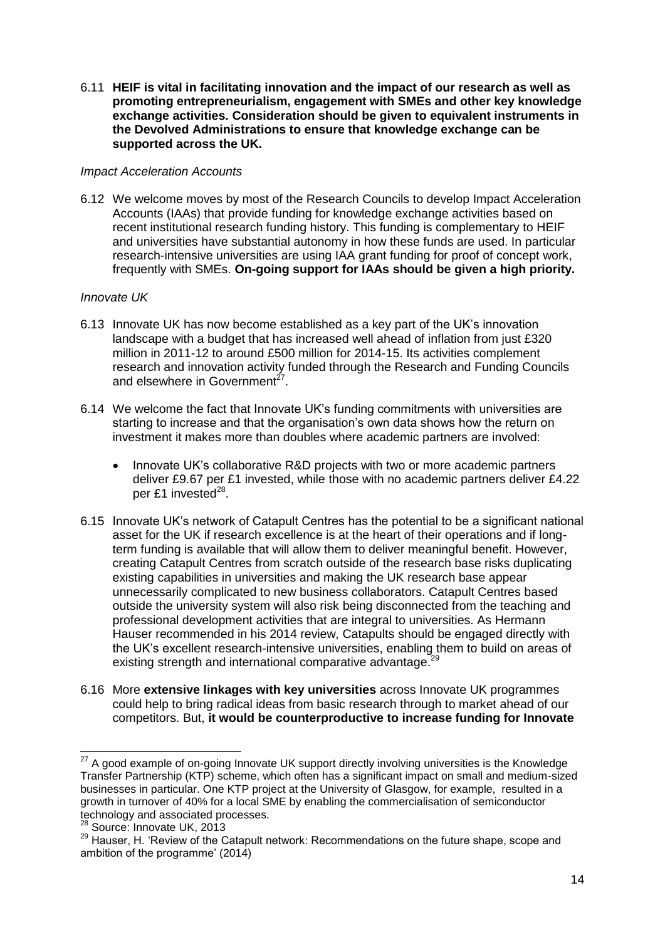6.11 **HEIF is vital in facilitating innovation and the impact of our research as well as promoting entrepreneurialism, engagement with SMEs and other key knowledge exchange activities. Consideration should be given to equivalent instruments in the Devolved Administrations to ensure that knowledge exchange can be supported across the UK.** 

#### *Impact Acceleration Accounts*

6.12 We welcome moves by most of the Research Councils to develop Impact Acceleration Accounts (IAAs) that provide funding for knowledge exchange activities based on recent institutional research funding history. This funding is complementary to HEIF and universities have substantial autonomy in how these funds are used. In particular research-intensive universities are using IAA grant funding for proof of concept work, frequently with SMEs. **On-going support for IAAs should be given a high priority.**

#### *Innovate UK*

- 6.13 Innovate UK has now become established as a key part of the UK's innovation landscape with a budget that has increased well ahead of inflation from just £320 million in 2011-12 to around £500 million for 2014-15. Its activities complement research and innovation activity funded through the Research and Funding Councils and elsewhere in Government<sup>27</sup>.
- 6.14 We welcome the fact that Innovate UK's funding commitments with universities are starting to increase and that the organisation's own data shows how the return on investment it makes more than doubles where academic partners are involved:
	- Innovate UK's collaborative R&D projects with two or more academic partners deliver £9.67 per £1 invested, while those with no academic partners deliver £4.22 per £1 invested<sup>28</sup>.
- 6.15 Innovate UK's network of Catapult Centres has the potential to be a significant national asset for the UK if research excellence is at the heart of their operations and if longterm funding is available that will allow them to deliver meaningful benefit. However, creating Catapult Centres from scratch outside of the research base risks duplicating existing capabilities in universities and making the UK research base appear unnecessarily complicated to new business collaborators. Catapult Centres based outside the university system will also risk being disconnected from the teaching and professional development activities that are integral to universities. As Hermann Hauser recommended in his 2014 review, Catapults should be engaged directly with the UK's excellent research-intensive universities, enabling them to build on areas of existing strength and international comparative advantage.<sup>29</sup>
- 6.16 More **extensive linkages with key universities** across Innovate UK programmes could help to bring radical ideas from basic research through to market ahead of our competitors. But, **it would be counterproductive to increase funding for Innovate**

 $27$  A good example of on-going Innovate UK support directly involving universities is the Knowledge Transfer Partnership (KTP) scheme, which often has a significant impact on small and medium-sized businesses in particular. One KTP project at the University of Glasgow, for example, resulted in a growth in turnover of 40% for a local SME by enabling the commercialisation of semiconductor technology and associated processes.

<sup>&</sup>lt;sup>28</sup> Source: Innovate UK, 2013

<sup>&</sup>lt;sup>29</sup> Hauser, H. 'Review of the Catapult network: Recommendations on the future shape, scope and ambition of the programme' (2014)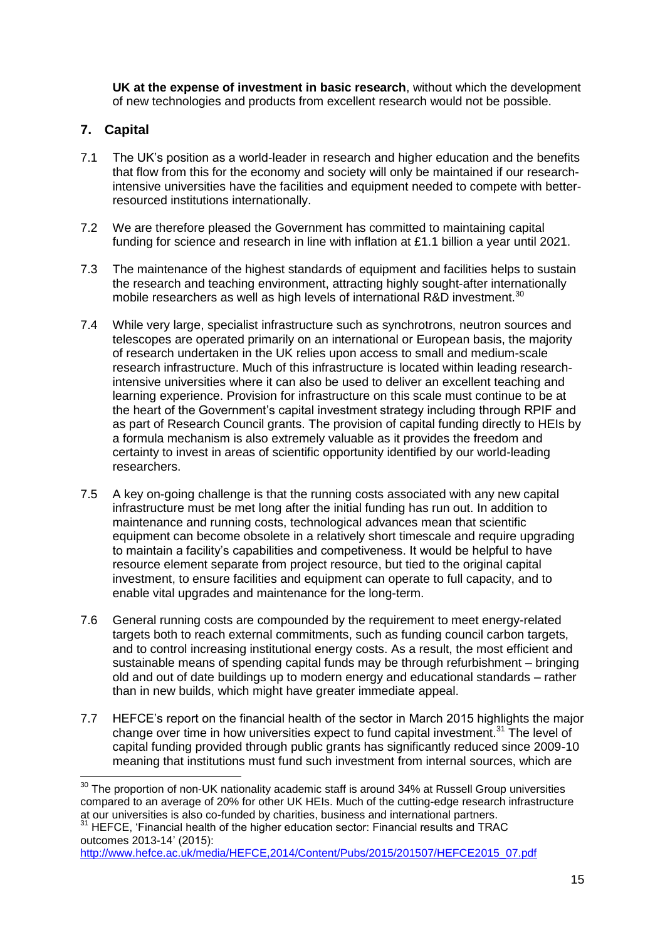**UK at the expense of investment in basic research**, without which the development of new technologies and products from excellent research would not be possible.

# **7. Capital**

 $\overline{a}$ 

- 7.1 The UK's position as a world-leader in research and higher education and the benefits that flow from this for the economy and society will only be maintained if our researchintensive universities have the facilities and equipment needed to compete with betterresourced institutions internationally.
- 7.2 We are therefore pleased the Government has committed to maintaining capital funding for science and research in line with inflation at £1.1 billion a year until 2021.
- 7.3 The maintenance of the highest standards of equipment and facilities helps to sustain the research and teaching environment, attracting highly sought-after internationally mobile researchers as well as high levels of international R&D investment.<sup>30</sup>
- 7.4 While very large, specialist infrastructure such as synchrotrons, neutron sources and telescopes are operated primarily on an international or European basis, the majority of research undertaken in the UK relies upon access to small and medium-scale research infrastructure. Much of this infrastructure is located within leading researchintensive universities where it can also be used to deliver an excellent teaching and learning experience. Provision for infrastructure on this scale must continue to be at the heart of the Government's capital investment strategy including through RPIF and as part of Research Council grants. The provision of capital funding directly to HEIs by a formula mechanism is also extremely valuable as it provides the freedom and certainty to invest in areas of scientific opportunity identified by our world-leading researchers.
- 7.5 A key on-going challenge is that the running costs associated with any new capital infrastructure must be met long after the initial funding has run out. In addition to maintenance and running costs, technological advances mean that scientific equipment can become obsolete in a relatively short timescale and require upgrading to maintain a facility's capabilities and competiveness. It would be helpful to have resource element separate from project resource, but tied to the original capital investment, to ensure facilities and equipment can operate to full capacity, and to enable vital upgrades and maintenance for the long-term.
- 7.6 General running costs are compounded by the requirement to meet energy-related targets both to reach external commitments, such as funding council carbon targets, and to control increasing institutional energy costs. As a result, the most efficient and sustainable means of spending capital funds may be through refurbishment – bringing old and out of date buildings up to modern energy and educational standards – rather than in new builds, which might have greater immediate appeal.
- 7.7 HEFCE's report on the financial health of the sector in March 2015 highlights the major change over time in how universities expect to fund capital investment.<sup>31</sup> The level of capital funding provided through public grants has significantly reduced since 2009-10 meaning that institutions must fund such investment from internal sources, which are

<sup>31</sup> HEFCE, 'Financial health of the higher education sector: Financial results and TRAC outcomes 2013-14' (2015):

```
http://www.hefce.ac.uk/media/HEFCE,2014/Content/Pubs/2015/201507/HEFCE2015_07.pdf
```
 $30$  The proportion of non-UK nationality academic staff is around 34% at Russell Group universities compared to an average of 20% for other UK HEIs. Much of the cutting-edge research infrastructure at our universities is also co-funded by charities, business and international partners.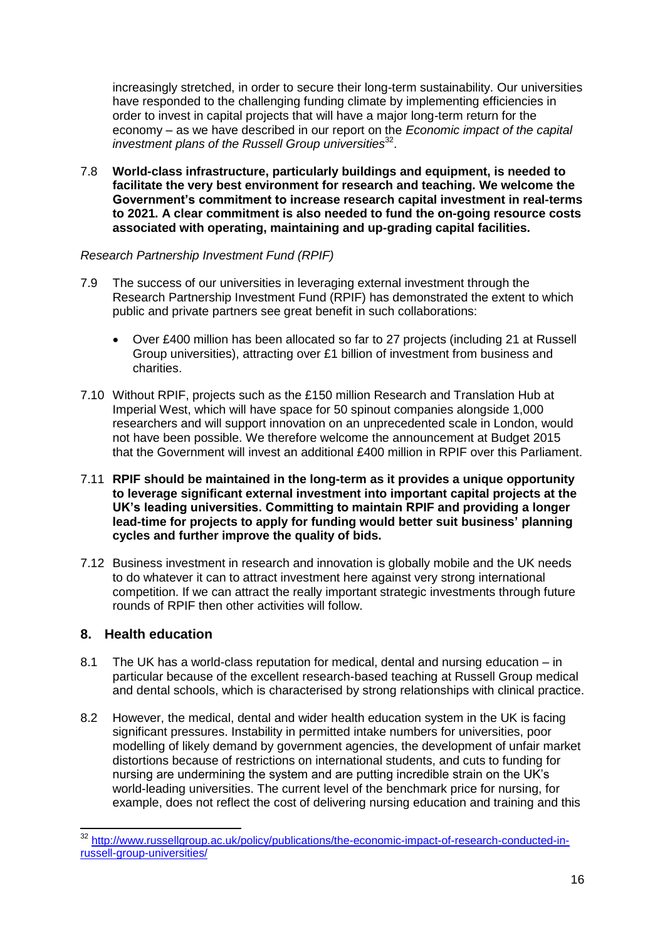increasingly stretched, in order to secure their long-term sustainability. Our universities have responded to the challenging funding climate by implementing efficiencies in order to invest in capital projects that will have a major long-term return for the economy – as we have described in our report on the *Economic impact of the capital*  investment plans of the Russell Group universities<sup>32</sup>.

7.8 **World-class infrastructure, particularly buildings and equipment, is needed to facilitate the very best environment for research and teaching. We welcome the Government's commitment to increase research capital investment in real-terms to 2021. A clear commitment is also needed to fund the on-going resource costs associated with operating, maintaining and up-grading capital facilities.**

#### *Research Partnership Investment Fund (RPIF)*

- 7.9 The success of our universities in leveraging external investment through the Research Partnership Investment Fund (RPIF) has demonstrated the extent to which public and private partners see great benefit in such collaborations:
	- Over £400 million has been allocated so far to 27 projects (including 21 at Russell Group universities), attracting over £1 billion of investment from business and charities.
- 7.10 Without RPIF, projects such as the £150 million Research and Translation Hub at Imperial West, which will have space for 50 spinout companies alongside 1,000 researchers and will support innovation on an unprecedented scale in London, would not have been possible. We therefore welcome the announcement at Budget 2015 that the Government will invest an additional £400 million in RPIF over this Parliament.
- 7.11 **RPIF should be maintained in the long-term as it provides a unique opportunity to leverage significant external investment into important capital projects at the UK's leading universities. Committing to maintain RPIF and providing a longer lead-time for projects to apply for funding would better suit business' planning cycles and further improve the quality of bids.**
- 7.12 Business investment in research and innovation is globally mobile and the UK needs to do whatever it can to attract investment here against very strong international competition. If we can attract the really important strategic investments through future rounds of RPIF then other activities will follow.

## **8. Health education**

- 8.1 The UK has a world-class reputation for medical, dental and nursing education in particular because of the excellent research-based teaching at Russell Group medical and dental schools, which is characterised by strong relationships with clinical practice.
- 8.2 However, the medical, dental and wider health education system in the UK is facing significant pressures. Instability in permitted intake numbers for universities, poor modelling of likely demand by government agencies, the development of unfair market distortions because of restrictions on international students, and cuts to funding for nursing are undermining the system and are putting incredible strain on the UK's world-leading universities. The current level of the benchmark price for nursing, for example, does not reflect the cost of delivering nursing education and training and this

<sup>&</sup>lt;sup>32</sup> [http://www.russellgroup.ac.uk/policy/publications/the-economic-impact-of-research-conducted-in](http://www.russellgroup.ac.uk/policy/publications/the-economic-impact-of-research-conducted-in-russell-group-universities/)[russell-group-universities/](http://www.russellgroup.ac.uk/policy/publications/the-economic-impact-of-research-conducted-in-russell-group-universities/)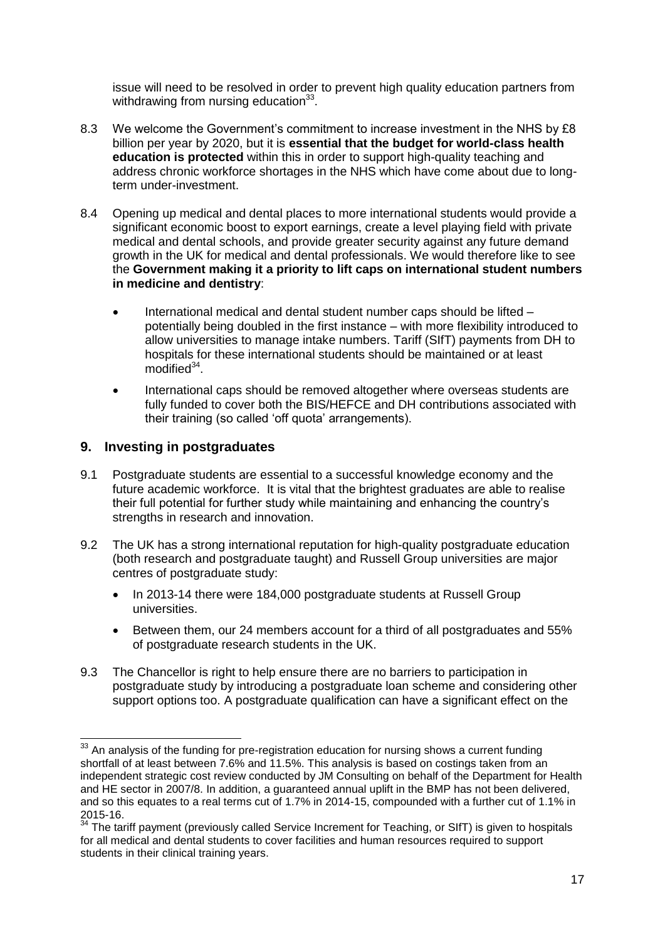issue will need to be resolved in order to prevent high quality education partners from withdrawing from nursing education $33$ .

- 8.3 We welcome the Government's commitment to increase investment in the NHS by £8 billion per year by 2020, but it is **essential that the budget for world-class health education is protected** within this in order to support high-quality teaching and address chronic workforce shortages in the NHS which have come about due to longterm under-investment.
- 8.4 Opening up medical and dental places to more international students would provide a significant economic boost to export earnings, create a level playing field with private medical and dental schools, and provide greater security against any future demand growth in the UK for medical and dental professionals. We would therefore like to see the **Government making it a priority to lift caps on international student numbers in medicine and dentistry**:
	- International medical and dental student number caps should be lifted potentially being doubled in the first instance – with more flexibility introduced to allow universities to manage intake numbers. Tariff (SIfT) payments from DH to hospitals for these international students should be maintained or at least modified<sup>34</sup>.
	- International caps should be removed altogether where overseas students are fully funded to cover both the BIS/HEFCE and DH contributions associated with their training (so called 'off quota' arrangements).

## **9. Investing in postgraduates**

- 9.1 Postgraduate students are essential to a successful knowledge economy and the future academic workforce. It is vital that the brightest graduates are able to realise their full potential for further study while maintaining and enhancing the country's strengths in research and innovation.
- 9.2 The UK has a strong international reputation for high-quality postgraduate education (both research and postgraduate taught) and Russell Group universities are major centres of postgraduate study:
	- In 2013-14 there were 184,000 postgraduate students at Russell Group universities.
	- Between them, our 24 members account for a third of all postgraduates and 55% of postgraduate research students in the UK.
- 9.3 The Chancellor is right to help ensure there are no barriers to participation in postgraduate study by introducing a postgraduate loan scheme and considering other support options too. A postgraduate qualification can have a significant effect on the

 $\overline{1}$  $33$  An analysis of the funding for pre-registration education for nursing shows a current funding shortfall of at least between 7.6% and 11.5%. This analysis is based on costings taken from an independent strategic cost review conducted by JM Consulting on behalf of the Department for Health and HE sector in 2007/8. In addition, a guaranteed annual uplift in the BMP has not been delivered, and so this equates to a real terms cut of 1.7% in 2014-15, compounded with a further cut of 1.1% in 2015-16.

<sup>&</sup>lt;sup>34</sup> The tariff payment (previously called Service Increment for Teaching, or SIfT) is given to hospitals for all medical and dental students to cover facilities and human resources required to support students in their clinical training years.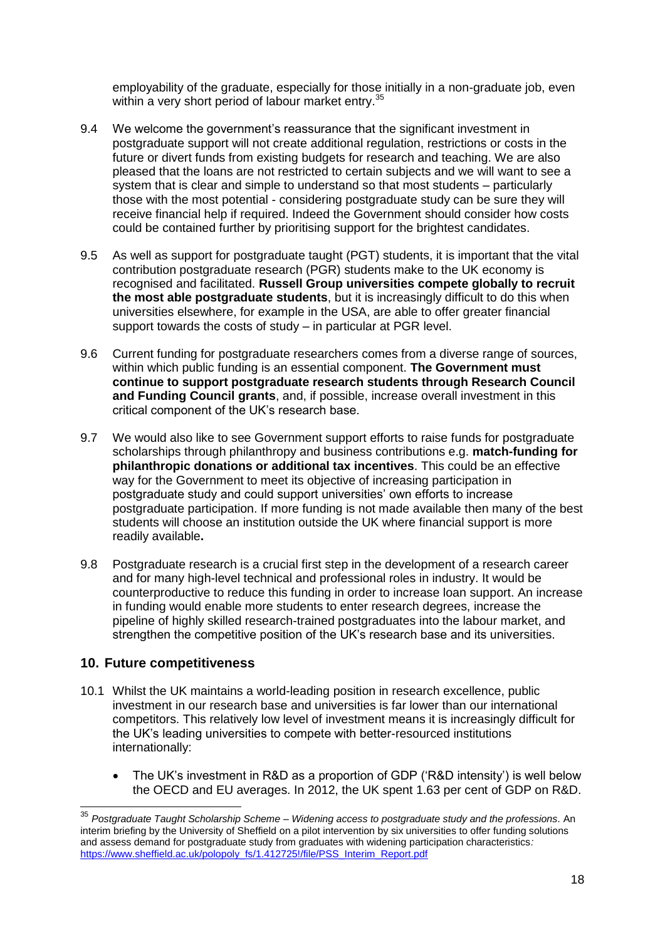employability of the graduate, especially for those initially in a non-graduate job, even within a very short period of labour market entry.<sup>35</sup>

- 9.4 We welcome the government's reassurance that the significant investment in postgraduate support will not create additional regulation, restrictions or costs in the future or divert funds from existing budgets for research and teaching. We are also pleased that the loans are not restricted to certain subjects and we will want to see a system that is clear and simple to understand so that most students – particularly those with the most potential - considering postgraduate study can be sure they will receive financial help if required. Indeed the Government should consider how costs could be contained further by prioritising support for the brightest candidates.
- 9.5 As well as support for postgraduate taught (PGT) students, it is important that the vital contribution postgraduate research (PGR) students make to the UK economy is recognised and facilitated. **Russell Group universities compete globally to recruit the most able postgraduate students**, but it is increasingly difficult to do this when universities elsewhere, for example in the USA, are able to offer greater financial support towards the costs of study – in particular at PGR level.
- 9.6 Current funding for postgraduate researchers comes from a diverse range of sources, within which public funding is an essential component. **The Government must continue to support postgraduate research students through Research Council and Funding Council grants**, and, if possible, increase overall investment in this critical component of the UK's research base.
- 9.7 We would also like to see Government support efforts to raise funds for postgraduate scholarships through philanthropy and business contributions e.g. **match-funding for philanthropic donations or additional tax incentives**. This could be an effective way for the Government to meet its objective of increasing participation in postgraduate study and could support universities' own efforts to increase postgraduate participation. If more funding is not made available then many of the best students will choose an institution outside the UK where financial support is more readily available**.**
- 9.8 Postgraduate research is a crucial first step in the development of a research career and for many high-level technical and professional roles in industry. It would be counterproductive to reduce this funding in order to increase loan support. An increase in funding would enable more students to enter research degrees, increase the pipeline of highly skilled research-trained postgraduates into the labour market, and strengthen the competitive position of the UK's research base and its universities.

#### **10. Future competitiveness**

- 10.1 Whilst the UK maintains a world-leading position in research excellence, public investment in our research base and universities is far lower than our international competitors. This relatively low level of investment means it is increasingly difficult for the UK's leading universities to compete with better-resourced institutions internationally:
	- The UK's investment in R&D as a proportion of GDP ('R&D intensity') is well below the OECD and EU averages. In 2012, the UK spent 1.63 per cent of GDP on R&D.

<sup>35</sup> *Postgraduate Taught Scholarship Scheme – Widening access to postgraduate study and the professions.* An interim briefing by the University of Sheffield on a pilot intervention by six universities to offer funding solutions and assess demand for postgraduate study from graduates with widening participation characteristics*:*  [https://www.sheffield.ac.uk/polopoly\\_fs/1.412725!/file/PSS\\_Interim\\_Report.pdf](https://www.sheffield.ac.uk/polopoly_fs/1.412725!/file/PSS_Interim_Report.pdf)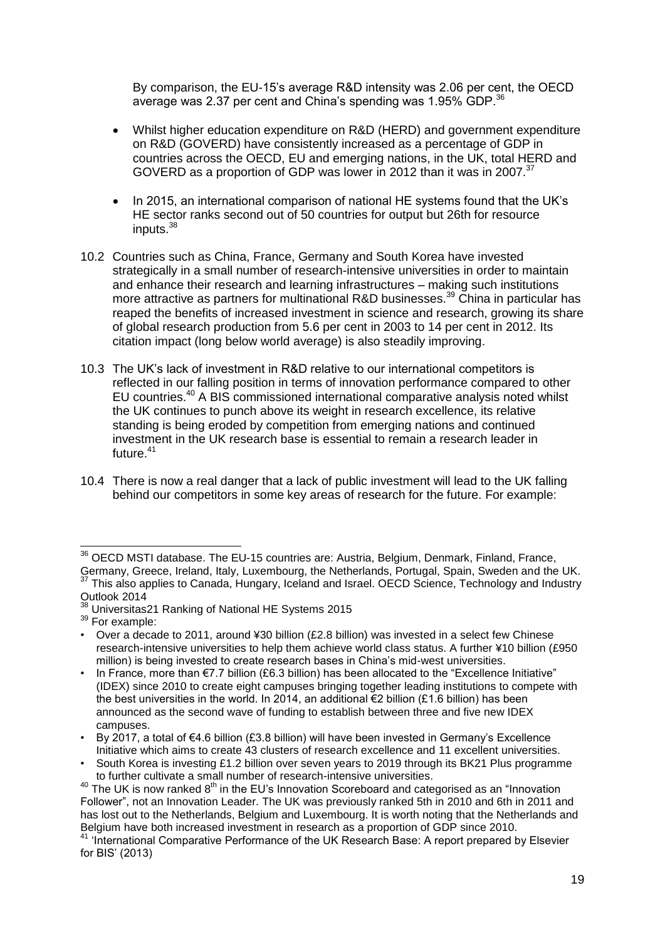By comparison, the EU-15's average R&D intensity was 2.06 per cent, the OECD average was 2.37 per cent and China's spending was 1.95% GDP.<sup>36</sup>

- Whilst higher education expenditure on R&D (HERD) and government expenditure on R&D (GOVERD) have consistently increased as a percentage of GDP in countries across the OECD, EU and emerging nations, in the UK, total HERD and GOVERD as a proportion of GDP was lower in 2012 than it was in 2007.<sup>37</sup>
- In 2015, an international comparison of national HE systems found that the UK's HE sector ranks second out of 50 countries for output but 26th for resource inputs.<sup>38</sup>
- 10.2 Countries such as China, France, Germany and South Korea have invested strategically in a small number of research-intensive universities in order to maintain and enhance their research and learning infrastructures – making such institutions more attractive as partners for multinational R&D businesses.<sup>39</sup> China in particular has reaped the benefits of increased investment in science and research, growing its share of global research production from 5.6 per cent in 2003 to 14 per cent in 2012. Its citation impact (long below world average) is also steadily improving.
- 10.3 The UK's lack of investment in R&D relative to our international competitors is reflected in our falling position in terms of innovation performance compared to other EU countries.<sup>40</sup> A BIS commissioned international comparative analysis noted whilst the UK continues to punch above its weight in research excellence, its relative standing is being eroded by competition from emerging nations and continued investment in the UK research base is essential to remain a research leader in future. $41$
- 10.4 There is now a real danger that a lack of public investment will lead to the UK falling behind our competitors in some key areas of research for the future. For example:

 $\overline{1}$ 

<sup>&</sup>lt;sup>36</sup> OECD MSTI database. The EU-15 countries are: Austria, Belgium, Denmark, Finland, France, Germany, Greece, Ireland, Italy, Luxembourg, the Netherlands, Portugal, Spain, Sweden and the UK. <sup>37</sup> This also applies to Canada, Hungary, Iceland and Israel. OECD Science, Technology and Industry Outlook 2014

<sup>&</sup>lt;sup>38</sup> Universitas21 Ranking of National HE Systems 2015

<sup>39</sup> For example:

<sup>•</sup> Over a decade to 2011, around ¥30 billion (£2.8 billion) was invested in a select few Chinese research-intensive universities to help them achieve world class status. A further ¥10 billion (£950 million) is being invested to create research bases in China's mid-west universities.

<sup>•</sup> In France, more than €7.7 billion (£6.3 billion) has been allocated to the "Excellence Initiative" (IDEX) since 2010 to create eight campuses bringing together leading institutions to compete with the best universities in the world. In 2014, an additional  $\epsilon$ 2 billion (£1.6 billion) has been announced as the second wave of funding to establish between three and five new IDEX campuses.

<sup>•</sup> By 2017, a total of €4.6 billion (£3.8 billion) will have been invested in Germany's Excellence Initiative which aims to create 43 clusters of research excellence and 11 excellent universities.

<sup>•</sup> South Korea is investing £1.2 billion over seven years to 2019 through its BK21 Plus programme to further cultivate a small number of research-intensive universities.

 $40$  The UK is now ranked  $8<sup>th</sup>$  in the EU's Innovation Scoreboard and categorised as an "Innovation Follower", not an Innovation Leader. The UK was previously ranked 5th in 2010 and 6th in 2011 and has lost out to the Netherlands, Belgium and Luxembourg. It is worth noting that the Netherlands and Belgium have both increased investment in research as a proportion of GDP since 2010.

<sup>41 &#</sup>x27;International Comparative Performance of the UK Research Base: A report prepared by Elsevier for BIS' (2013)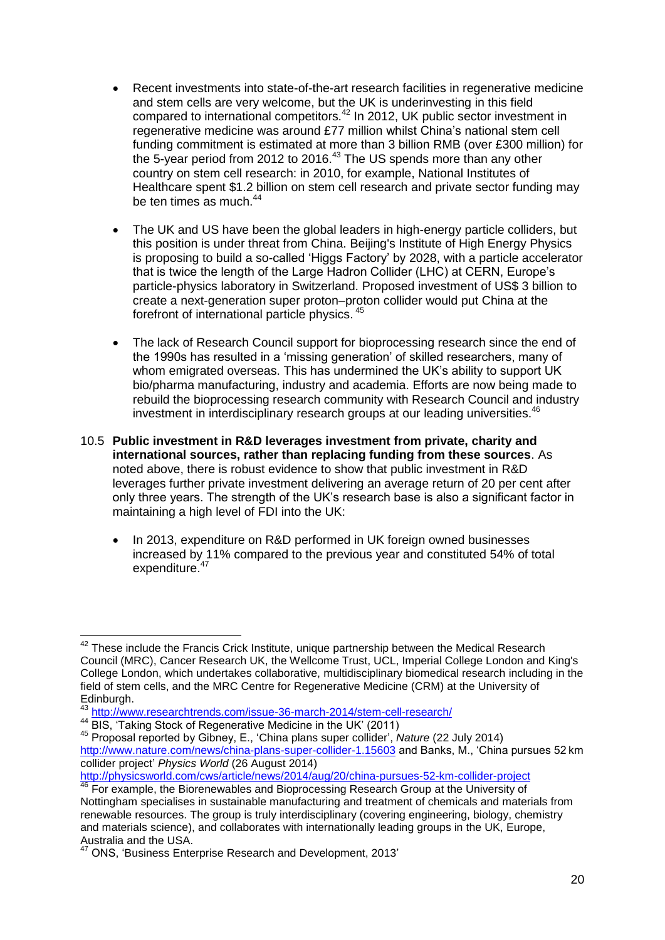- Recent investments into state-of-the-art research facilities in regenerative medicine and stem cells are very welcome, but the UK is underinvesting in this field compared to international competitors.<sup>42</sup> In 2012, UK public sector investment in regenerative medicine was around £77 million whilst China's national stem cell funding commitment is estimated at more than 3 billion RMB (over £300 million) for the 5-year period from 2012 to 2016. $43$  The US spends more than any other country on stem cell research: in 2010, for example, National Institutes of Healthcare spent \$1.2 billion on stem cell research and private sector funding may be ten times as much.<sup>44</sup>
- The UK and US have been the global leaders in high-energy particle colliders, but this position is under threat from China. Beijing's Institute of High Energy Physics is proposing to build a so-called 'Higgs Factory' by 2028, with a particle accelerator that is twice the length of the Large Hadron Collider (LHC) at CERN, Europe's particle-physics laboratory in Switzerland. Proposed investment of US\$ 3 billion to create a next-generation super proton–proton collider would put China at the forefront of international particle physics. <sup>45</sup>
- The lack of Research Council support for bioprocessing research since the end of the 1990s has resulted in a 'missing generation' of skilled researchers, many of whom emigrated overseas. This has undermined the UK's ability to support UK bio/pharma manufacturing, industry and academia. Efforts are now being made to rebuild the bioprocessing research community with Research Council and industry investment in interdisciplinary research groups at our leading universities.<sup>46</sup>
- 10.5 **Public investment in R&D leverages investment from private, charity and international sources, rather than replacing funding from these sources**. As noted above, there is robust evidence to show that public investment in R&D leverages further private investment delivering an average return of 20 per cent after only three years. The strength of the UK's research base is also a significant factor in maintaining a high level of FDI into the UK:
	- In 2013, expenditure on R&D performed in UK foreign owned businesses increased by 11% compared to the previous year and constituted 54% of total expenditure.<sup>47</sup>

<sup>-</sup> $42$  These include the Francis Crick Institute, unique partnership between the Medical Research Council (MRC), Cancer Research UK, the Wellcome Trust, UCL, Imperial College London and King's College London, which undertakes collaborative, multidisciplinary biomedical research including in the field of stem cells, and the MRC Centre for Regenerative Medicine (CRM) at the University of Edinburgh.

<sup>&</sup>lt;sup>43</sup> <http://www.researchtrends.com/issue-36-march-2014/stem-cell-research/>

<sup>44</sup> BIS, 'Taking Stock of Regenerative Medicine in the UK' (2011)

<sup>45</sup> Proposal reported by Gibney, E., 'China plans super collider', *Nature* (22 July 2014) <http://www.nature.com/news/china-plans-super-collider-1.15603> and Banks, M., 'China pursues 52 km collider project' *Physics World* (26 August 2014)

<http://physicsworld.com/cws/article/news/2014/aug/20/china-pursues-52-km-collider-project> <sup>46</sup> For example, the Biorenewables and Bioprocessing Research Group at the University of

Nottingham specialises in sustainable manufacturing and treatment of chemicals and materials from renewable resources. The group is truly interdisciplinary (covering engineering, biology, chemistry and materials science), and collaborates with internationally leading groups in the UK, Europe, Australia and the USA.

ONS, 'Business Enterprise Research and Development, 2013'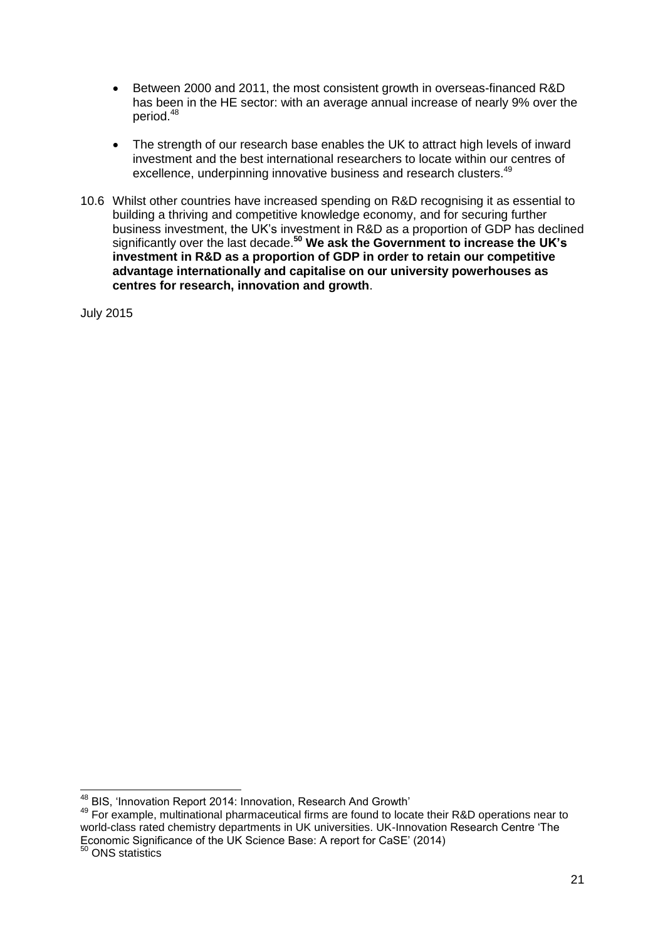- Between 2000 and 2011, the most consistent growth in overseas-financed R&D has been in the HE sector: with an average annual increase of nearly 9% over the period.<sup>48</sup>
- The strength of our research base enables the UK to attract high levels of inward investment and the best international researchers to locate within our centres of excellence, underpinning innovative business and research clusters.<sup>49</sup>
- 10.6 Whilst other countries have increased spending on R&D recognising it as essential to building a thriving and competitive knowledge economy, and for securing further business investment, the UK's investment in R&D as a proportion of GDP has declined significantly over the last decade.**<sup>50</sup> We ask the Government to increase the UK's investment in R&D as a proportion of GDP in order to retain our competitive advantage internationally and capitalise on our university powerhouses as centres for research, innovation and growth**.

July 2015

<sup>50</sup> ONS statistics

<sup>-</sup><sup>48</sup> BIS, 'Innovation Report 2014: Innovation, Research And Growth'

<sup>49</sup> For example, multinational pharmaceutical firms are found to locate their R&D operations near to world-class rated chemistry departments in UK universities. UK-Innovation Research Centre 'The Economic Significance of the UK Science Base: A report for CaSE' (2014)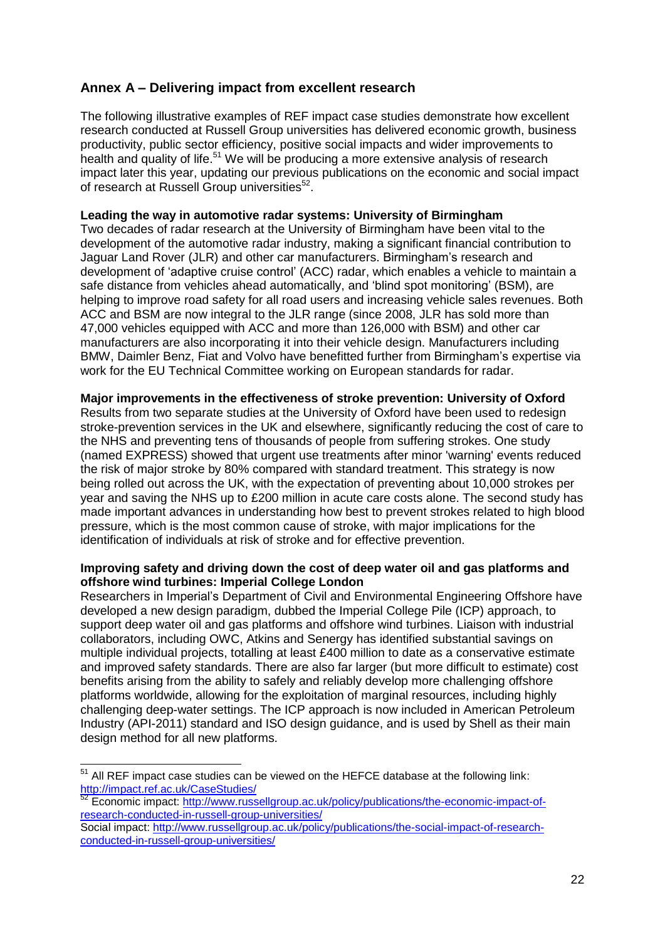# **Annex A – Delivering impact from excellent research**

The following illustrative examples of REF impact case studies demonstrate how excellent research conducted at Russell Group universities has delivered economic growth, business productivity, public sector efficiency, positive social impacts and wider improvements to health and quality of life.<sup>51</sup> We will be producing a more extensive analysis of research impact later this year, updating our previous publications on the economic and social impact of research at Russell Group universities<sup>52</sup>.

#### **Leading the way in automotive radar systems: University of Birmingham**

Two decades of radar research at the University of Birmingham have been vital to the development of the automotive radar industry, making a significant financial contribution to Jaguar Land Rover (JLR) and other car manufacturers. Birmingham's research and development of 'adaptive cruise control' (ACC) radar, which enables a vehicle to maintain a safe distance from vehicles ahead automatically, and 'blind spot monitoring' (BSM), are helping to improve road safety for all road users and increasing vehicle sales revenues. Both ACC and BSM are now integral to the JLR range (since 2008, JLR has sold more than 47,000 vehicles equipped with ACC and more than 126,000 with BSM) and other car manufacturers are also incorporating it into their vehicle design. Manufacturers including BMW, Daimler Benz, Fiat and Volvo have benefitted further from Birmingham's expertise via work for the EU Technical Committee working on European standards for radar.

#### **Major improvements in the effectiveness of stroke prevention: University of Oxford**

Results from two separate studies at the University of Oxford have been used to redesign stroke-prevention services in the UK and elsewhere, significantly reducing the cost of care to the NHS and preventing tens of thousands of people from suffering strokes. One study (named EXPRESS) showed that urgent use treatments after minor 'warning' events reduced the risk of major stroke by 80% compared with standard treatment. This strategy is now being rolled out across the UK, with the expectation of preventing about 10,000 strokes per year and saving the NHS up to £200 million in acute care costs alone. The second study has made important advances in understanding how best to prevent strokes related to high blood pressure, which is the most common cause of stroke, with major implications for the identification of individuals at risk of stroke and for effective prevention.

#### **Improving safety and driving down the cost of deep water oil and gas platforms and offshore wind turbines: Imperial College London**

Researchers in Imperial's Department of Civil and Environmental Engineering Offshore have developed a new design paradigm, dubbed the Imperial College Pile (ICP) approach, to support deep water oil and gas platforms and offshore wind turbines. Liaison with industrial collaborators, including OWC, Atkins and Senergy has identified substantial savings on multiple individual projects, totalling at least £400 million to date as a conservative estimate and improved safety standards. There are also far larger (but more difficult to estimate) cost benefits arising from the ability to safely and reliably develop more challenging offshore platforms worldwide, allowing for the exploitation of marginal resources, including highly challenging deep-water settings. The ICP approach is now included in American Petroleum Industry (API-2011) standard and ISO design guidance, and is used by Shell as their main design method for all new platforms.

 $51$  All REF impact case studies can be viewed on the HEFCE database at the following link: <http://impact.ref.ac.uk/CaseStudies/>

<sup>52</sup> Economic impact: [http://www.russellgroup.ac.uk/policy/publications/the-economic-impact-of](http://www.russellgroup.ac.uk/policy/publications/the-economic-impact-of-research-conducted-in-russell-group-universities/)[research-conducted-in-russell-group-universities/](http://www.russellgroup.ac.uk/policy/publications/the-economic-impact-of-research-conducted-in-russell-group-universities/)

Social impact: [http://www.russellgroup.ac.uk/policy/publications/the-social-impact-of-research](http://www.russellgroup.ac.uk/policy/publications/the-social-impact-of-research-conducted-in-russell-group-universities/)[conducted-in-russell-group-universities/](http://www.russellgroup.ac.uk/policy/publications/the-social-impact-of-research-conducted-in-russell-group-universities/)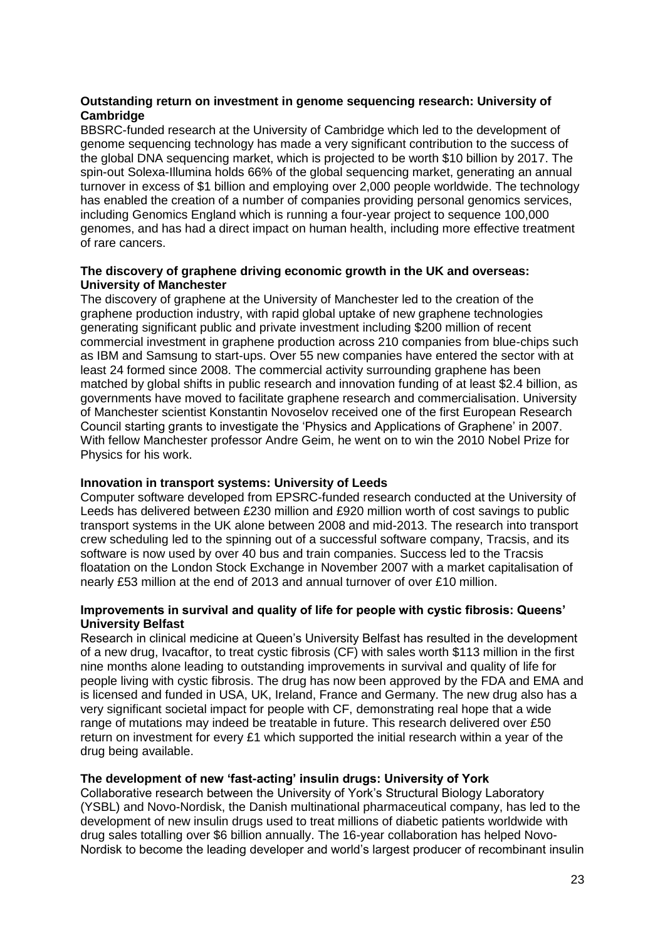#### **Outstanding return on investment in genome sequencing research: University of Cambridge**

BBSRC-funded research at the University of Cambridge which led to the development of genome sequencing technology has made a very significant contribution to the success of the global DNA sequencing market, which is projected to be worth \$10 billion by 2017. The spin-out Solexa-Illumina holds 66% of the global sequencing market, generating an annual turnover in excess of \$1 billion and employing over 2,000 people worldwide. The technology has enabled the creation of a number of companies providing personal genomics services, including Genomics England which is running a four-year project to sequence 100,000 genomes, and has had a direct impact on human health, including more effective treatment of rare cancers.

#### **The discovery of graphene driving economic growth in the UK and overseas: University of Manchester**

The discovery of graphene at the University of Manchester led to the creation of the graphene production industry, with rapid global uptake of new graphene technologies generating significant public and private investment including \$200 million of recent commercial investment in graphene production across 210 companies from blue-chips such as IBM and Samsung to start-ups. Over 55 new companies have entered the sector with at least 24 formed since 2008. The commercial activity surrounding graphene has been matched by global shifts in public research and innovation funding of at least \$2.4 billion, as governments have moved to facilitate graphene research and commercialisation. University of Manchester scientist Konstantin Novoselov received one of the first European Research Council starting grants to investigate the 'Physics and Applications of Graphene' in 2007. With fellow Manchester professor Andre Geim, he went on to win the 2010 Nobel Prize for Physics for his work.

#### **Innovation in transport systems: University of Leeds**

Computer software developed from EPSRC-funded research conducted at the University of Leeds has delivered between £230 million and £920 million worth of cost savings to public transport systems in the UK alone between 2008 and mid-2013. The research into transport crew scheduling led to the spinning out of a successful software company, Tracsis, and its software is now used by over 40 bus and train companies. Success led to the Tracsis floatation on the London Stock Exchange in November 2007 with a market capitalisation of nearly £53 million at the end of 2013 and annual turnover of over £10 million.

#### **Improvements in survival and quality of life for people with cystic fibrosis: Queens' University Belfast**

Research in clinical medicine at Queen's University Belfast has resulted in the development of a new drug, Ivacaftor, to treat cystic fibrosis (CF) with sales worth \$113 million in the first nine months alone leading to outstanding improvements in survival and quality of life for people living with cystic fibrosis. The drug has now been approved by the FDA and EMA and is licensed and funded in USA, UK, Ireland, France and Germany. The new drug also has a very significant societal impact for people with CF, demonstrating real hope that a wide range of mutations may indeed be treatable in future. This research delivered over £50 return on investment for every £1 which supported the initial research within a year of the drug being available.

#### **The development of new 'fast-acting' insulin drugs: University of York**

Collaborative research between the University of York's Structural Biology Laboratory (YSBL) and Novo-Nordisk, the Danish multinational pharmaceutical company, has led to the development of new insulin drugs used to treat millions of diabetic patients worldwide with drug sales totalling over \$6 billion annually. The 16-year collaboration has helped Novo-Nordisk to become the leading developer and world's largest producer of recombinant insulin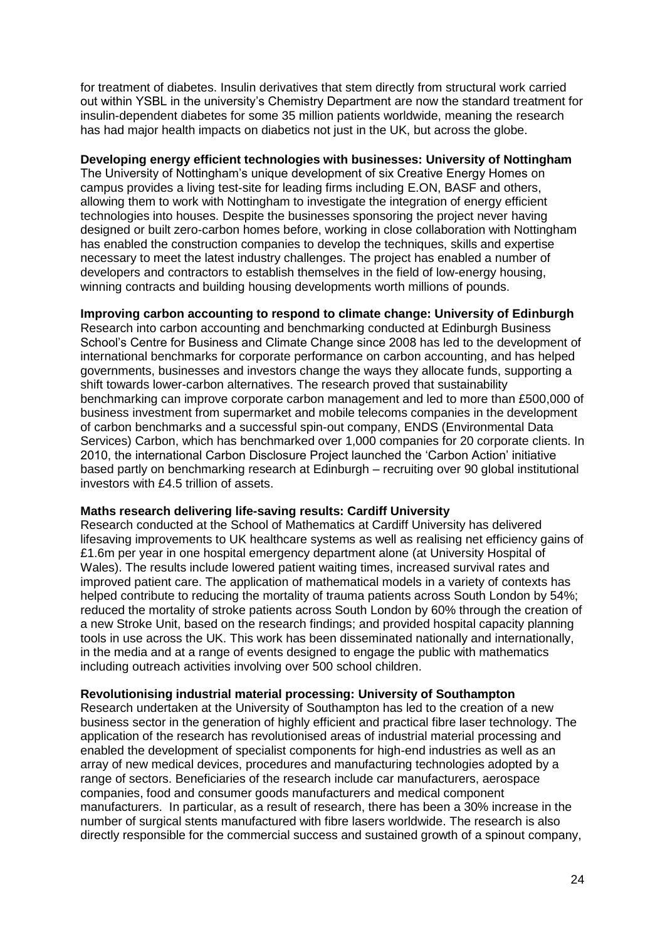for treatment of diabetes. Insulin derivatives that stem directly from structural work carried out within YSBL in the university's Chemistry Department are now the standard treatment for insulin-dependent diabetes for some 35 million patients worldwide, meaning the research has had major health impacts on diabetics not just in the UK, but across the globe.

#### **Developing energy efficient technologies with businesses: University of Nottingham**

The University of Nottingham's unique development of six Creative Energy Homes on campus provides a living test-site for leading firms including E.ON, BASF and others, allowing them to work with Nottingham to investigate the integration of energy efficient technologies into houses. Despite the businesses sponsoring the project never having designed or built zero-carbon homes before, working in close collaboration with Nottingham has enabled the construction companies to develop the techniques, skills and expertise necessary to meet the latest industry challenges. The project has enabled a number of developers and contractors to establish themselves in the field of low-energy housing, winning contracts and building housing developments worth millions of pounds.

#### **Improving carbon accounting to respond to climate change: University of Edinburgh**

Research into carbon accounting and benchmarking conducted at Edinburgh Business School's Centre for Business and Climate Change since 2008 has led to the development of international benchmarks for corporate performance on carbon accounting, and has helped governments, businesses and investors change the ways they allocate funds, supporting a shift towards lower-carbon alternatives. The research proved that sustainability benchmarking can improve corporate carbon management and led to more than £500,000 of business investment from supermarket and mobile telecoms companies in the development of carbon benchmarks and a successful spin-out company, ENDS (Environmental Data Services) Carbon, which has benchmarked over 1,000 companies for 20 corporate clients. In 2010, the international Carbon Disclosure Project launched the 'Carbon Action' initiative based partly on benchmarking research at Edinburgh – recruiting over 90 global institutional investors with £4.5 trillion of assets.

#### **Maths research delivering life-saving results: Cardiff University**

Research conducted at the School of Mathematics at Cardiff University has delivered lifesaving improvements to UK healthcare systems as well as realising net efficiency gains of £1.6m per year in one hospital emergency department alone (at University Hospital of Wales). The results include lowered patient waiting times, increased survival rates and improved patient care. The application of mathematical models in a variety of contexts has helped contribute to reducing the mortality of trauma patients across South London by 54%; reduced the mortality of stroke patients across South London by 60% through the creation of a new Stroke Unit, based on the research findings; and provided hospital capacity planning tools in use across the UK. This work has been disseminated nationally and internationally, in the media and at a range of events designed to engage the public with mathematics including outreach activities involving over 500 school children.

#### **Revolutionising industrial material processing: University of Southampton**

Research undertaken at the University of Southampton has led to the creation of a new business sector in the generation of highly efficient and practical fibre laser technology. The application of the research has revolutionised areas of industrial material processing and enabled the development of specialist components for high-end industries as well as an array of new medical devices, procedures and manufacturing technologies adopted by a range of sectors. Beneficiaries of the research include car manufacturers, aerospace companies, food and consumer goods manufacturers and medical component manufacturers. In particular, as a result of research, there has been a 30% increase in the number of surgical stents manufactured with fibre lasers worldwide. The research is also directly responsible for the commercial success and sustained growth of a spinout company,